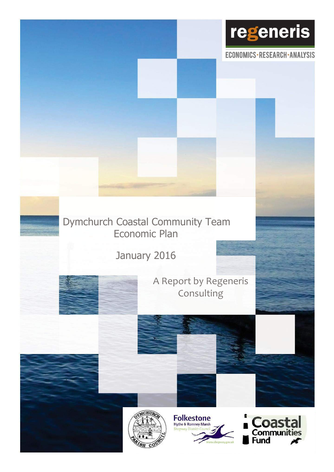

ECONOMICS·RESEARCH·ANALYSIS

# Dymchurch Coastal Community Team Economic Plan

January 2016



A Report by Regeneris Consulting





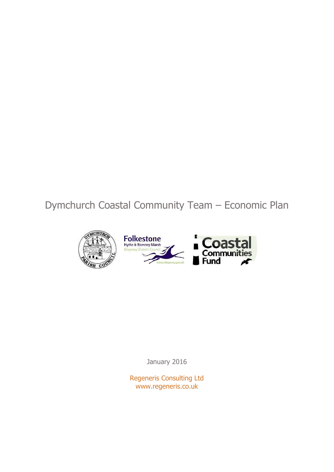Dymchurch Coastal Community Team – Economic Plan



January 2016

Regeneris Consulting Ltd www.regeneris.co.uk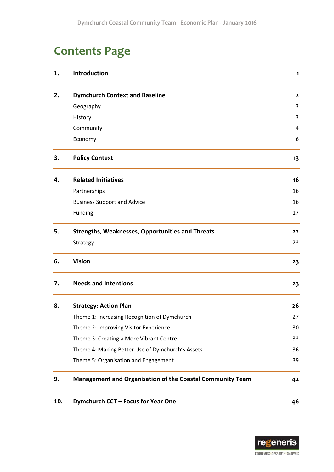# **Contents Page**

| 1.  | <b>Introduction</b>                                       | 1              |
|-----|-----------------------------------------------------------|----------------|
| 2.  | <b>Dymchurch Context and Baseline</b>                     | $\overline{2}$ |
|     | Geography                                                 | 3              |
|     | History                                                   | 3              |
|     | Community                                                 | 4              |
|     | Economy                                                   | 6              |
| 3.  | <b>Policy Context</b>                                     | 13             |
| 4.  | <b>Related Initiatives</b>                                | 16             |
|     | Partnerships                                              | 16             |
|     | <b>Business Support and Advice</b>                        | 16             |
|     | Funding                                                   | 17             |
| 5.  | <b>Strengths, Weaknesses, Opportunities and Threats</b>   | 22             |
|     | Strategy                                                  | 23             |
| 6.  | <b>Vision</b>                                             | 23             |
| 7.  | <b>Needs and Intentions</b>                               | 23             |
| 8.  | <b>Strategy: Action Plan</b>                              | 26             |
|     | Theme 1: Increasing Recognition of Dymchurch              | 27             |
|     | Theme 2: Improving Visitor Experience                     | 30             |
|     | Theme 3: Creating a More Vibrant Centre                   | 33             |
|     | Theme 4: Making Better Use of Dymchurch's Assets          | 36             |
|     | Theme 5: Organisation and Engagement                      | 39             |
| 9.  | Management and Organisation of the Coastal Community Team | 42             |
| 10. | Dymchurch CCT - Focus for Year One                        | 46             |

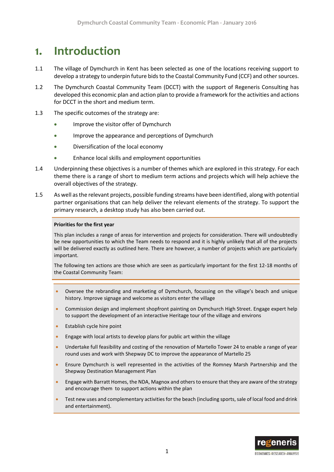# <span id="page-3-0"></span>**1. Introduction**

- 1.1 The village of Dymchurch in Kent has been selected as one of the locations receiving support to develop a strategy to underpin future bids to the Coastal Community Fund (CCF) and other sources.
- 1.2 The Dymchurch Coastal Community Team (DCCT) with the support of Regeneris Consulting has developed this economic plan and action plan to provide a framework for the activities and actions for DCCT in the short and medium term.
- 1.3 The specific outcomes of the strategy are:
	- Improve the visitor offer of Dymchurch
	- **•** Improve the appearance and perceptions of Dymchurch
	- Diversification of the local economy
	- Enhance local skills and employment opportunities
- 1.4 Underpinning these objectives is a number of themes which are explored in this strategy. For each theme there is a range of short to medium term actions and projects which will help achieve the overall objectives of the strategy.
- 1.5 As well as the relevant projects, possible funding streams have been identified, along with potential partner organisations that can help deliver the relevant elements of the strategy. To support the primary research, a desktop study has also been carried out.

#### **Priorities for the first year**

This plan includes a range of areas for intervention and projects for consideration. There will undoubtedly be new opportunities to which the Team needs to respond and it is highly unlikely that all of the projects will be delivered exactly as outlined here. There are however, a number of projects which are particularly important.

The following ten actions are those which are seen as particularly important for the first 12-18 months of the Coastal Community Team:

- Oversee the rebranding and marketing of Dymchurch, focussing on the village's beach and unique history. Improve signage and welcome as visitors enter the village
- Commission design and implement shopfront painting on Dymchurch High Street. Engage expert help to support the development of an interactive Heritage tour of the village and environs
- Establish cycle hire point
- Engage with local artists to develop plans for public art within the village
- Undertake full feasibility and costing of the renovation of Martello Tower 24 to enable a range of year round uses and work with Shepway DC to improve the appearance of Martello 25
- Ensure Dymchurch is well represented in the activities of the Romney Marsh Partnership and the Shepway Destination Management Plan
- Engage with Barratt Homes, the NDA, Magnox and others to ensure that they are aware of the strategy and encourage them to support actions within the plan
- Test new uses and complementary activities for the beach (including sports, sale of local food and drink and entertainment).

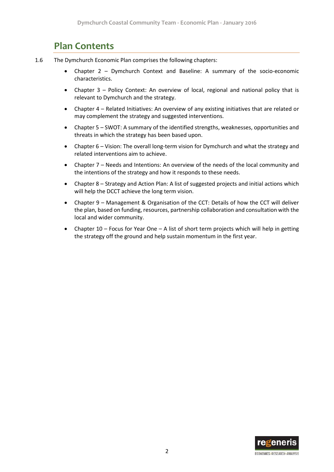## **Plan Contents**

- <span id="page-4-0"></span>1.6 The Dymchurch Economic Plan comprises the following chapters:
	- Chapter 2 Dymchurch Context and Baseline: A summary of the socio-economic characteristics.
	- Chapter 3 Policy Context: An overview of local, regional and national policy that is relevant to Dymchurch and the strategy.
	- Chapter 4 Related Initiatives: An overview of any existing initiatives that are related or may complement the strategy and suggested interventions.
	- Chapter 5 SWOT: A summary of the identified strengths, weaknesses, opportunities and threats in which the strategy has been based upon.
	- Chapter 6 Vision: The overall long-term vision for Dymchurch and what the strategy and related interventions aim to achieve.
	- Chapter 7 Needs and Intentions: An overview of the needs of the local community and the intentions of the strategy and how it responds to these needs.
	- Chapter 8 Strategy and Action Plan: A list of suggested projects and initial actions which will help the DCCT achieve the long term vision.
	- Chapter 9 Management & Organisation of the CCT: Details of how the CCT will deliver the plan, based on funding, resources, partnership collaboration and consultation with the local and wider community.
	- Chapter 10 Focus for Year One A list of short term projects which will help in getting the strategy off the ground and help sustain momentum in the first year.

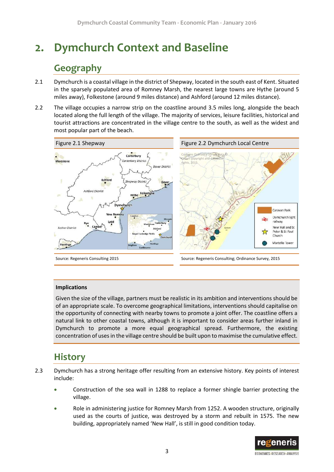# **2. Dymchurch Context and Baseline**

# **Geography**

- <span id="page-5-0"></span>2.1 Dymchurch is a coastal village in the district of Shepway, located in the south east of Kent. Situated in the sparsely populated area of Romney Marsh, the nearest large towns are Hythe (around 5 miles away), Folkestone (around 9 miles distance) and Ashford (around 12 miles distance).
- 2.2 The village occupies a narrow strip on the coastline around 3.5 miles long, alongside the beach located along the full length of the village. The majority of services, leisure facilities, historical and tourist attractions are concentrated in the village centre to the south, as well as the widest and most popular part of the beach.





#### **Implications**

Given the size of the village, partners must be realistic in its ambition and interventions should be of an appropriate scale. To overcome geographical limitations, interventions should capitalise on the opportunity of connecting with nearby towns to promote a joint offer. The coastline offers a natural link to other coastal towns, although it is important to consider areas further inland in Dymchurch to promote a more equal geographical spread. Furthermore, the existing concentration of uses in the village centre should be built upon to maximise the cumulative effect.

## **History**

- <span id="page-5-1"></span>2.3 Dymchurch has a strong heritage offer resulting from an extensive history. Key points of interest include:
	- Construction of the sea wall in 1288 to replace a former shingle barrier protecting the village.
	- Role in administering justice for Romney Marsh from 1252. A wooden structure, originally used as the courts of justice, was destroyed by a storm and rebuilt in 1575. The new building, appropriately named 'New Hall', is still in good condition today.

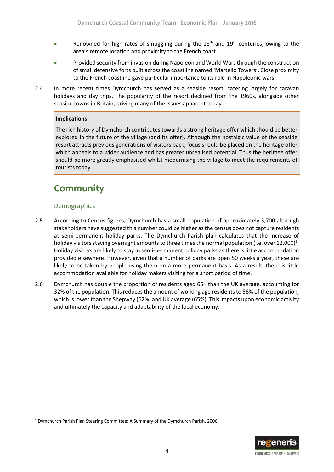- Renowned for high rates of smuggling during the  $18<sup>th</sup>$  and  $19<sup>th</sup>$  centuries, owing to the area's remote location and proximity to the French coast.
- Provided security from invasion during Napoleon and World Wars through the construction of small defensive forts built across the coastline named 'Martello Towers'. Close proximity to the French coastline gave particular importance to its role in Napoleonic wars.
- 2.4 In more recent times Dymchurch has served as a seaside resort, catering largely for caravan holidays and day trips. The popularity of the resort declined from the 1960s, alongside other seaside towns in Britain, driving many of the issues apparent today.

#### **Implications**

The rich history of Dymchurch contributes towards a strong heritage offer which should be better explored in the future of the village (and its offer). Although the nostalgic value of the seaside resort attracts previous generations of visitors back, focus should be placed on the heritage offer which appeals to a wider audience and has greater unrealised potential. Thus the heritage offer should be more greatly emphasised whilst modernising the village to meet the requirements of tourists today.

# <span id="page-6-0"></span>**Community**

#### Demographics

- 2.5 According to Census figures, Dymchurch has a small population of approximately 3,700 although stakeholders have suggested this number could be higher as the census does not capture residents at semi-permanent holiday parks. The Dymchurch Parish plan calculates that the increase of holiday visitors staying overnight amounts to three times the normal population (i.e. over 12,000)<sup>1</sup>. Holiday visitors are likely to stay in semi-permanent holiday parks as there is little accommodation provided elsewhere. However, given that a number of parks are open 50 weeks a year, these are likely to be taken by people using them on a more permanent basis. As a result, there is little accommodation available for holiday makers visiting for a short period of time.
- 2.6 Dymchurch has double the proportion of residents aged 65+ than the UK average, accounting for 32% of the population. This reduces the amount of working age residents to 56% of the population, which is lower than the Shepway (62%) and UK average (65%). This impacts upon economic activity and ultimately the capacity and adaptability of the local economy.

<sup>1</sup> Dymchurch Parish Plan Steering Committee; A Summary of the Dymchurch Parish, 2006

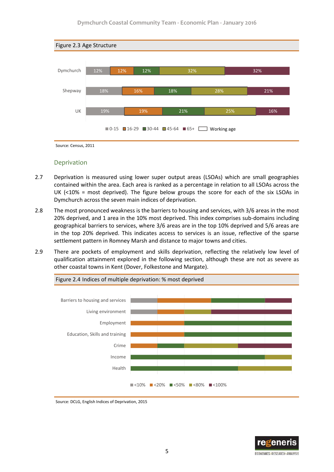

#### Deprivation

- 2.7 Deprivation is measured using lower super output areas (LSOAs) which are small geographies contained within the area. Each area is ranked as a percentage in relation to all LSOAs across the UK  $\langle$ <10% = most deprived). The figure below groups the score for each of the six LSOAs in Dymchurch across the seven main indices of deprivation.
- 2.8 The most pronounced weakness is the barriers to housing and services, with 3/6 areas in the most 20% deprived, and 1 area in the 10% most deprived. This index comprises sub-domains including geographical barriers to services, where 3/6 areas are in the top 10% deprived and 5/6 areas are in the top 20% deprived. This indicates access to services is an issue, reflective of the sparse settlement pattern in Romney Marsh and distance to major towns and cities.
- 2.9 There are pockets of employment and skills deprivation, reflecting the relatively low level of qualification attainment explored in the following section, although these are not as severe as other coastal towns in Kent (Dover, Folkestone and Margate).



Figure 2.4 Indices of multiple deprivation: % most deprived

Source: DCLG, English Indices of Deprivation, 2015

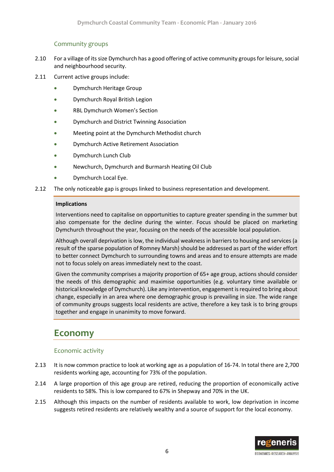### Community groups

- 2.10 For a village of its size Dymchurch has a good offering of active community groups for leisure, social and neighbourhood security.
- 2.11 Current active groups include:
	- Dymchurch Heritage Group
	- Dymchurch Royal British Legion
	- RBL Dymchurch Women's Section
	- **•** Dymchurch and District Twinning Association
	- Meeting point at the Dymchurch Methodist church
	- Dymchurch Active Retirement Association
	- Dymchurch Lunch Club
	- Newchurch, Dymchurch and Burmarsh Heating Oil Club
	- Dymchurch Local Eye.
- 2.12 The only noticeable gap is groups linked to business representation and development.

#### **Implications**

Interventions need to capitalise on opportunities to capture greater spending in the summer but also compensate for the decline during the winter. Focus should be placed on marketing Dymchurch throughout the year, focusing on the needs of the accessible local population.

Although overall deprivation is low, the individual weakness in barriers to housing and services (a result of the sparse population of Romney Marsh) should be addressed as part of the wider effort to better connect Dymchurch to surrounding towns and areas and to ensure attempts are made not to focus solely on areas immediately next to the coast.

Given the community comprises a majority proportion of 65+ age group, actions should consider the needs of this demographic and maximise opportunities (e.g. voluntary time available or historical knowledge of Dymchurch). Like any intervention, engagement is required to bring about change, especially in an area where one demographic group is prevailing in size. The wide range of community groups suggests local residents are active, therefore a key task is to bring groups together and engage in unanimity to move forward.

## <span id="page-8-0"></span>**Economy**

### Economic activity

- 2.13 It is now common practice to look at working age as a population of 16-74. In total there are 2,700 residents working age, accounting for 73% of the population.
- 2.14 A large proportion of this age group are retired, reducing the proportion of economically active residents to 58%. This is low compared to 67% in Shepway and 70% in the UK.
- 2.15 Although this impacts on the number of residents available to work, low deprivation in income suggests retired residents are relatively wealthy and a source of support for the local economy.

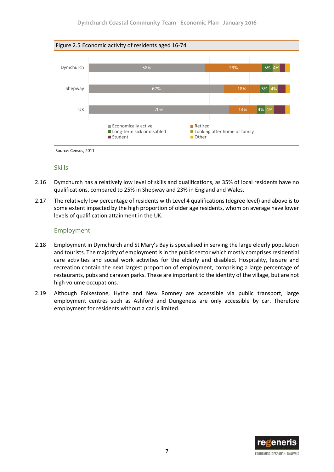

## Skills

- 2.16 Dymchurch has a relatively low level of skills and qualifications, as 35% of local residents have no qualifications, compared to 25% in Shepway and 23% in England and Wales.
- 2.17 The relatively low percentage of residents with Level 4 qualifications (degree level) and above is to some extent impacted by the high proportion of older age residents, whom on average have lower levels of qualification attainment in the UK.

#### Employment

- 2.18 Employment in Dymchurch and St Mary's Bay is specialised in serving the large elderly population and tourists. The majority of employment is in the public sector which mostly comprises residential care activities and social work activities for the elderly and disabled. Hospitality, leisure and recreation contain the next largest proportion of employment, comprising a large percentage of restaurants, pubs and caravan parks. These are important to the identity of the village, but are not high volume occupations.
- 2.19 Although Folkestone, Hythe and New Romney are accessible via public transport, large employment centres such as Ashford and Dungeness are only accessible by car. Therefore employment for residents without a car is limited.

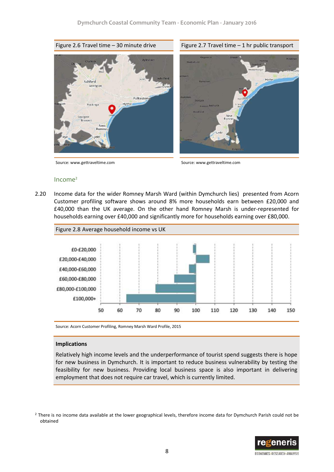Figure 2.6 Travel time  $-30$  minute drive Figure 2.7 Travel time  $-1$  hr public transport



Source: www.gettraveltime.com Source: www.gettraveltime.com



#### Income<sup>2</sup>

2.20 Income data for the wider Romney Marsh Ward (within Dymchurch lies) presented from Acorn Customer profiling software shows around 8% more households earn between £20,000 and £40,000 than the UK average. On the other hand Romney Marsh is under-represented for households earning over £40,000 and significantly more for households earning over £80,000.



Source: Acorn Customer Profiling, Romney Marsh Ward Profile, 2015

#### **Implications**

Relatively high income levels and the underperformance of tourist spend suggests there is hope for new business in Dymchurch. It is important to reduce business vulnerability by testing the feasibility for new business. Providing local business space is also important in delivering employment that does not require car travel, which is currently limited.

<sup>&</sup>lt;sup>2</sup> There is no income data available at the lower geographical levels, therefore income data for Dymchurch Parish could not be obtained



**ECONOMICS-RESEARCH-ANALYSIS**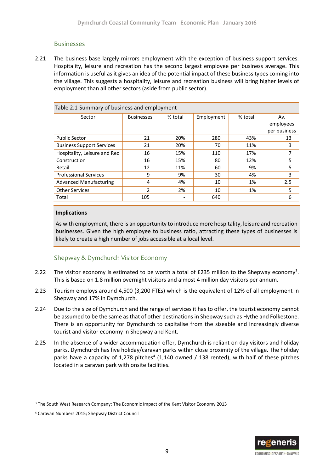#### Businesses

2.21 The business base largely mirrors employment with the exception of business support services. Hospitality, leisure and recreation has the second largest employee per business average. This information is useful as it gives an idea of the potential impact of these business types coming into the village. This suggests a hospitality, leisure and recreation business will bring higher levels of employment than all other sectors (aside from public sector).

| Table 2.1 Summary of business and employment |                   |         |            |         |                                  |  |  |  |
|----------------------------------------------|-------------------|---------|------------|---------|----------------------------------|--|--|--|
| Sector                                       | <b>Businesses</b> | % total | Employment | % total | Av.<br>employees<br>per business |  |  |  |
| <b>Public Sector</b>                         | 21                | 20%     | 280        | 43%     | 13                               |  |  |  |
| <b>Business Support Services</b>             | 21                | 20%     | 70         | 11%     | 3                                |  |  |  |
| Hospitality, Leisure and Rec                 | 16                | 15%     | 110        | 17%     |                                  |  |  |  |
| Construction                                 | 16                | 15%     | 80         | 12%     | 5                                |  |  |  |
| Retail                                       | 12                | 11%     | 60         | 9%      | 5                                |  |  |  |
| <b>Professional Services</b>                 | 9                 | 9%      | 30         | 4%      | 3                                |  |  |  |
| <b>Advanced Manufacturing</b>                | 4                 | 4%      | 10         | 1%      | 2.5                              |  |  |  |
| <b>Other Services</b>                        | $\mathcal{P}$     | 2%      | 10         | 1%      | 5                                |  |  |  |
| Total                                        | 105               |         | 640        |         | 6                                |  |  |  |

#### **Implications**

As with employment, there is an opportunity to introduce more hospitality, leisure and recreation businesses. Given the high employee to business ratio, attracting these types of businesses is likely to create a high number of jobs accessible at a local level.

### Shepway & Dymchurch Visitor Economy

- 2.22 The visitor economy is estimated to be worth a total of £235 million to the Shepway economy<sup>3</sup>. This is based on 1.8 million overnight visitors and almost 4 million day visitors per annum.
- 2.23 Tourism employs around 4,500 (3,200 FTEs) which is the equivalent of 12% of all employment in Shepway and 17% in Dymchurch.
- 2.24 Due to the size of Dymchurch and the range of services it has to offer, the tourist economy cannot be assumed to be the same as that of other destinations in Shepway such as Hythe and Folkestone. There is an opportunity for Dymchurch to capitalise from the sizeable and increasingly diverse tourist and visitor economy in Shepway and Kent.
- 2.25 In the absence of a wider accommodation offer, Dymchurch is reliant on day visitors and holiday parks. Dymchurch has five holiday/caravan parks within close proximity of the village. The holiday parks have a capacity of 1,278 pitches<sup>4</sup> (1,140 owned / 138 rented), with half of these pitches located in a caravan park with onsite facilities.



<sup>&</sup>lt;sup>3</sup> The South West Research Company; The Economic Impact of the Kent Visitor Economy 2013

<sup>4</sup> Caravan Numbers 2015; Shepway District Council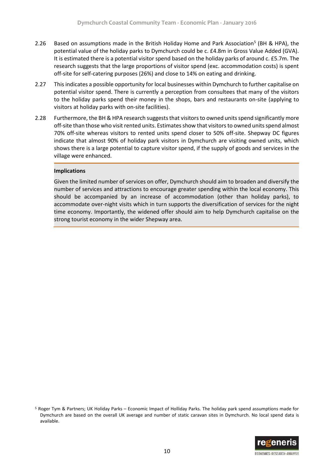- 2.26 Based on assumptions made in the British Holiday Home and Park Association<sup>5</sup> (BH & HPA), the potential value of the holiday parks to Dymchurch could be c. £4.8m in Gross Value Added (GVA). It is estimated there is a potential visitor spend based on the holiday parks of around c. £5.7m. The research suggests that the large proportions of visitor spend (exc. accommodation costs) is spent off-site for self-catering purposes (26%) and close to 14% on eating and drinking.
- 2.27 This indicates a possible opportunity for local businesses within Dymchurch to further capitalise on potential visitor spend. There is currently a perception from consultees that many of the visitors to the holiday parks spend their money in the shops, bars and restaurants on-site (applying to visitors at holiday parks with on-site facilities).
- 2.28 Furthermore, the BH & HPA research suggests that visitors to owned units spend significantly more off-site than those who visit rented units. Estimates show that visitors to owned units spend almost 70% off-site whereas visitors to rented units spend closer to 50% off-site. Shepway DC figures indicate that almost 90% of holiday park visitors in Dymchurch are visiting owned units, which shows there is a large potential to capture visitor spend, if the supply of goods and services in the village were enhanced.

#### **Implications**

Given the limited number of services on offer, Dymchurch should aim to broaden and diversify the number of services and attractions to encourage greater spending within the local economy. This should be accompanied by an increase of accommodation (other than holiday parks), to accommodate over-night visits which in turn supports the diversification of services for the night time economy. Importantly, the widened offer should aim to help Dymchurch capitalise on the strong tourist economy in the wider Shepway area.

<sup>5</sup> Roger Tym & Partners; UK Holiday Parks – Economic Impact of Holliday Parks. The holiday park spend assumptions made for Dymchurch are based on the overall UK average and number of static caravan sites in Dymchurch. No local spend data is available.

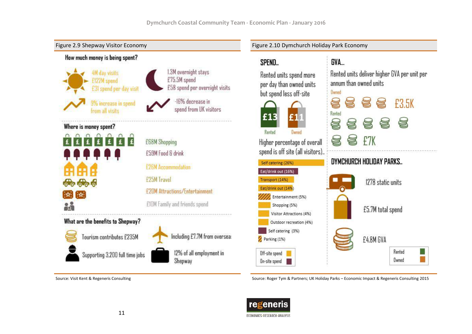

Source: Visit Kent & Regeneris Consulting Source: Roger Tym & Partners; UK Holiday Parks – Economic Impact & Regeneris Consulting 2015

![](_page_13_Picture_4.jpeg)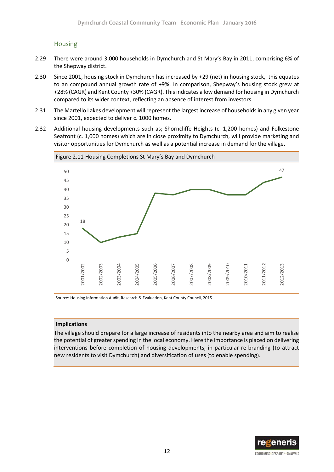### Housing

- 2.29 There were around 3,000 households in Dymchurch and St Mary's Bay in 2011, comprising 6% of the Shepway district.
- 2.30 Since 2001, housing stock in Dymchurch has increased by +29 (net) in housing stock, this equates to an compound annual growth rate of +9%. In comparison, Shepway's housing stock grew at +28% (CAGR) and Kent County +30% (CAGR). This indicates a low demand for housing in Dymchurch compared to its wider context, reflecting an absence of interest from investors.
- 2.31 The Martello Lakes development will represent the largest increase of households in any given year since 2001, expected to deliver c. 1000 homes.
- 2.32 Additional housing developments such as; Shorncliffe Heights (c. 1,200 homes) and Folkestone Seafront (c. 1,000 homes) which are in close proximity to Dymchurch, will provide marketing and visitor opportunities for Dymchurch as well as a potential increase in demand for the village.

![](_page_14_Figure_6.jpeg)

Source: Housing Information Audit, Research & Evaluation, Kent County Council, 2015

#### **Implications**

The village should prepare for a large increase of residents into the nearby area and aim to realise the potential of greater spending in the local economy. Here the importance is placed on delivering interventions before completion of housing developments, in particular re-branding (to attract new residents to visit Dymchurch) and diversification of uses (to enable spending).

![](_page_14_Picture_10.jpeg)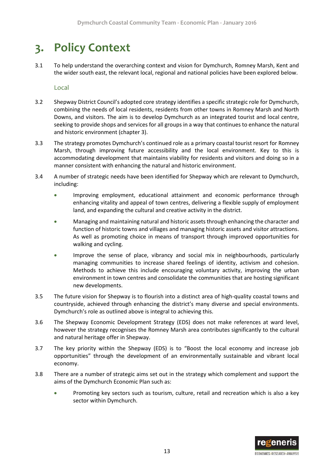# <span id="page-15-0"></span>**3. Policy Context**

3.1 To help understand the overarching context and vision for Dymchurch, Romney Marsh, Kent and the wider south east, the relevant local, regional and national policies have been explored below.

Local

- 3.2 Shepway District Council's adopted core strategy identifies a specific strategic role for Dymchurch, combining the needs of local residents, residents from other towns in Romney Marsh and North Downs, and visitors. The aim is to develop Dymchurch as an integrated tourist and local centre, seeking to provide shops and services for all groups in a way that continues to enhance the natural and historic environment (chapter 3).
- 3.3 The strategy promotes Dymchurch's continued role as a primary coastal tourist resort for Romney Marsh, through improving future accessibility and the local environment. Key to this is accommodating development that maintains viability for residents and visitors and doing so in a manner consistent with enhancing the natural and historic environment.
- 3.4 A number of strategic needs have been identified for Shepway which are relevant to Dymchurch, including:
	- Improving employment, educational attainment and economic performance through enhancing vitality and appeal of town centres, delivering a flexible supply of employment land, and expanding the cultural and creative activity in the district.
	- Managing and maintaining natural and historic assets through enhancing the character and function of historic towns and villages and managing historic assets and visitor attractions. As well as promoting choice in means of transport through improved opportunities for walking and cycling.
	- Improve the sense of place, vibrancy and social mix in neighbourhoods, particularly managing communities to increase shared feelings of identity, activism and cohesion. Methods to achieve this include encouraging voluntary activity, improving the urban environment in town centres and consolidate the communities that are hosting significant new developments.
- 3.5 The future vision for Shepway is to flourish into a distinct area of high-quality coastal towns and countryside, achieved through enhancing the district's many diverse and special environments. Dymchurch's role as outlined above is integral to achieving this.
- 3.6 The Shepway Economic Development Strategy (EDS) does not make references at ward level, however the strategy recognises the Romney Marsh area contributes significantly to the cultural and natural heritage offer in Shepway.
- 3.7 The key priority within the Shepway (EDS) is to "Boost the local economy and increase job opportunities" through the development of an environmentally sustainable and vibrant local economy.
- 3.8 There are a number of strategic aims set out in the strategy which complement and support the aims of the Dymchurch Economic Plan such as:
	- Promoting key sectors such as tourism, culture, retail and recreation which is also a key sector within Dymchurch.

![](_page_15_Picture_15.jpeg)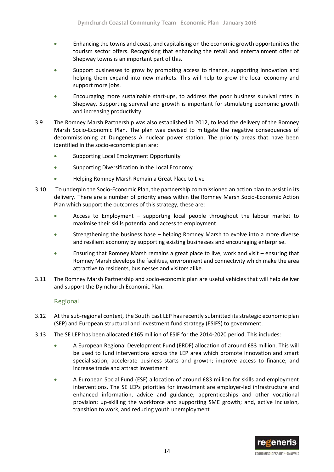- Enhancing the towns and coast, and capitalising on the economic growth opportunities the tourism sector offers. Recognising that enhancing the retail and entertainment offer of Shepway towns is an important part of this.
- Support businesses to grow by promoting access to finance, supporting innovation and helping them expand into new markets. This will help to grow the local economy and support more jobs.
- Encouraging more sustainable start-ups, to address the poor business survival rates in Shepway. Supporting survival and growth is important for stimulating economic growth and increasing productivity.
- 3.9 The Romney Marsh Partnership was also established in 2012, to lead the delivery of the Romney Marsh Socio-Economic Plan. The plan was devised to mitigate the negative consequences of decommissioning at Dungeness A nuclear power station. The priority areas that have been identified in the socio-economic plan are:
	- **Supporting Local Employment Opportunity**
	- Supporting Diversification in the Local Economy
	- Helping Romney Marsh Remain a Great Place to Live
- 3.10 To underpin the Socio-Economic Plan, the partnership commissioned an action plan to assist in its delivery. There are a number of priority areas within the Romney Marsh Socio-Economic Action Plan which support the outcomes of this strategy, these are:
	- Access to Employment supporting local people throughout the labour market to maximise their skills potential and access to employment.
	- Strengthening the business base helping Romney Marsh to evolve into a more diverse and resilient economy by supporting existing businesses and encouraging enterprise.
	- Ensuring that Romney Marsh remains a great place to live, work and visit ensuring that Romney Marsh develops the facilities, environment and connectivity which make the area attractive to residents, businesses and visitors alike.
- 3.11 The Romney Marsh Partnership and socio-economic plan are useful vehicles that will help deliver and support the Dymchurch Economic Plan.

#### Regional

- 3.12 At the sub-regional context, the South East LEP has recently submitted its strategic economic plan (SEP) and European structural and investment fund strategy (ESIFS) to government.
- 3.13 The SE LEP has been allocated £165 million of ESIF for the 2014-2020 period. This includes:
	- A European Regional Development Fund (ERDF) allocation of around £83 million. This will be used to fund interventions across the LEP area which promote innovation and smart specialisation; accelerate business starts and growth; improve access to finance; and increase trade and attract investment
	- A European Social Fund (ESF) allocation of around £83 million for skills and employment interventions. The SE LEPs priorities for investment are employer-led infrastructure and enhanced information, advice and guidance; apprenticeships and other vocational provision; up-skilling the workforce and supporting SME growth; and, active inclusion, transition to work, and reducing youth unemployment

![](_page_16_Picture_18.jpeg)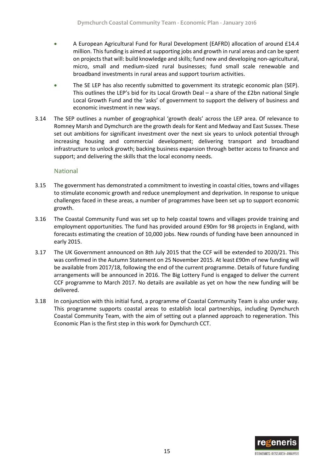- A European Agricultural Fund for Rural Development (EAFRD) allocation of around £14.4 million. This funding is aimed at supporting jobs and growth in rural areas and can be spent on projects that will: build knowledge and skills; fund new and developing non-agricultural, micro, small and medium-sized rural businesses; fund small scale renewable and broadband investments in rural areas and support tourism activities.
- The SE LEP has also recently submitted to government its strategic economic plan (SEP). This outlines the LEP's bid for its Local Growth Deal – a share of the £2bn national Single Local Growth Fund and the 'asks' of government to support the delivery of business and economic investment in new ways.
- 3.14 The SEP outlines a number of geographical 'growth deals' across the LEP area. Of relevance to Romney Marsh and Dymchurch are the growth deals for Kent and Medway and East Sussex. These set out ambitions for significant investment over the next six years to unlock potential through increasing housing and commercial development; delivering transport and broadband infrastructure to unlock growth; backing business expansion through better access to finance and support; and delivering the skills that the local economy needs.

#### National

- 3.15 The government has demonstrated a commitment to investing in coastal cities, towns and villages to stimulate economic growth and reduce unemployment and deprivation. In response to unique challenges faced in these areas, a number of programmes have been set up to support economic growth.
- 3.16 The Coastal Community Fund was set up to help coastal towns and villages provide training and employment opportunities. The fund has provided around £90m for 98 projects in England, with forecasts estimating the creation of 10,000 jobs. New rounds of funding have been announced in early 2015.
- 3.17 The UK Government announced on 8th July 2015 that the CCF will be extended to 2020/21. This was confirmed in the Autumn Statement on 25 November 2015. At least £90m of new funding will be available from 2017/18, following the end of the current programme. Details of future funding arrangements will be announced in 2016. The Big Lottery Fund is engaged to deliver the current CCF programme to March 2017. No details are available as yet on how the new funding will be delivered.
- 3.18 In conjunction with this initial fund, a programme of Coastal Community Team is also under way. This programme supports coastal areas to establish local partnerships, including Dymchurch Coastal Community Team, with the aim of setting out a planned approach to regeneration. This Economic Plan is the first step in this work for Dymchurch CCT.

![](_page_17_Picture_9.jpeg)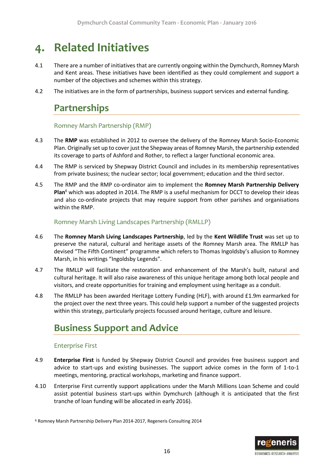# <span id="page-18-0"></span>**4. Related Initiatives**

- 4.1 There are a number of initiatives that are currently ongoing within the Dymchurch, Romney Marsh and Kent areas. These initiatives have been identified as they could complement and support a number of the objectives and schemes within this strategy.
- <span id="page-18-1"></span>4.2 The initiatives are in the form of partnerships, business support services and external funding.

## **Partnerships**

#### Romney Marsh Partnership (RMP)

- 4.3 The **RMP** was established in 2012 to oversee the delivery of the Romney Marsh Socio-Economic Plan. Originally set up to cover just the Shepway areas of Romney Marsh, the partnership extended its coverage to parts of Ashford and Rother, to reflect a larger functional economic area.
- 4.4 The RMP is serviced by Shepway District Council and includes in its membership representatives from private business; the nuclear sector; local government; education and the third sector.
- 4.5 The RMP and the RMP co-ordinator aim to implement the **Romney Marsh Partnership Delivery Plan**<sup>6</sup> which was adopted in 2014. The RMP is a useful mechanism for DCCT to develop their ideas and also co-ordinate projects that may require support from other parishes and organisations within the RMP.

#### Romney Marsh Living Landscapes Partnership (RMLLP)

- 4.6 The **Romney Marsh Living Landscapes Partnership**, led by the **Kent Wildlife Trust** was set up to preserve the natural, cultural and heritage assets of the Romney Marsh area. The RMLLP has devised "The Fifth Continent" programme which refers to Thomas Ingoldsby's allusion to Romney Marsh, in his writings "Ingoldsby Legends".
- 4.7 The RMLLP will facilitate the restoration and enhancement of the Marsh's built, natural and cultural heritage. It will also raise awareness of this unique heritage among both local people and visitors, and create opportunities for training and employment using heritage as a conduit.
- 4.8 The RMLLP has been awarded Heritage Lottery Funding (HLF), with around £1.9m earmarked for the project over the next three years. This could help support a number of the suggested projects within this strategy, particularly projects focussed around heritage, culture and leisure.

## <span id="page-18-2"></span>**Business Support and Advice**

#### Enterprise First

- 4.9 **Enterprise First** is funded by Shepway District Council and provides free business support and advice to start-ups and existing businesses. The support advice comes in the form of 1-to-1 meetings, mentoring, practical workshops, marketing and finance support.
- 4.10 Enterprise First currently support applications under the Marsh Millions Loan Scheme and could assist potential business start-ups within Dymchurch (although it is anticipated that the first tranche of loan funding will be allocated in early 2016).

<sup>6</sup> Romney Marsh Partnership Delivery Plan 2014-2017, Regeneris Consulting 2014

![](_page_18_Picture_18.jpeg)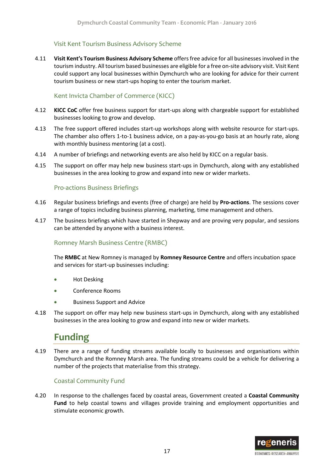### Visit Kent Tourism Business Advisory Scheme

4.11 **Visit Kent's Tourism Business Advisory Scheme** offers free advice for all businesses involved in the tourism industry. All tourism based businesses are eligible for a free on-site advisory visit. Visit Kent could support any local businesses within Dymchurch who are looking for advice for their current tourism business or new start-ups hoping to enter the tourism market.

### Kent Invicta Chamber of Commerce (KICC)

- 4.12 **KICC CoC** offer free business support for start-ups along with chargeable support for established businesses looking to grow and develop.
- 4.13 The free support offered includes start-up workshops along with website resource for start-ups. The chamber also offers 1-to-1 business advice, on a pay-as-you-go basis at an hourly rate, along with monthly business mentoring (at a cost).
- 4.14 A number of briefings and networking events are also held by KICC on a regular basis.
- 4.15 The support on offer may help new business start-ups in Dymchurch, along with any established businesses in the area looking to grow and expand into new or wider markets.

#### Pro-actions Business Briefings

- 4.16 Regular business briefings and events (free of charge) are held by **Pro-actions**. The sessions cover a range of topics including business planning, marketing, time management and others.
- 4.17 The business briefings which have started in Shepway and are proving very popular, and sessions can be attended by anyone with a business interest.

### Romney Marsh Business Centre (RMBC)

The **RMBC** at New Romney is managed by **Romney Resource Centre** and offers incubation space and services for start-up businesses including:

- **•** Hot Desking
- Conference Rooms
- Business Support and Advice
- <span id="page-19-0"></span>4.18 The support on offer may help new business start-ups in Dymchurch, along with any established businesses in the area looking to grow and expand into new or wider markets.

## **Funding**

4.19 There are a range of funding streams available locally to businesses and organisations within Dymchurch and the Romney Marsh area. The funding streams could be a vehicle for delivering a number of the projects that materialise from this strategy.

### Coastal Community Fund

4.20 In response to the challenges faced by coastal areas, Government created a **Coastal Community Fund** to help coastal towns and villages provide training and employment opportunities and stimulate economic growth.

![](_page_19_Picture_21.jpeg)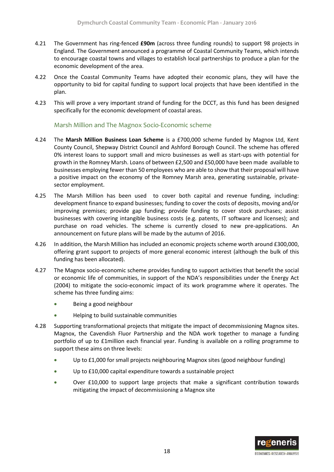- 4.21 The Government has ring-fenced **£90m** (across three funding rounds) to support 98 projects in England. The Government announced a programme of Coastal Community Teams, which intends to encourage coastal towns and villages to establish local partnerships to produce a plan for the economic development of the area.
- 4.22 Once the Coastal Community Teams have adopted their economic plans, they will have the opportunity to bid for capital funding to support local projects that have been identified in the plan.
- 4.23 This will prove a very important strand of funding for the DCCT, as this fund has been designed specifically for the economic development of coastal areas.

#### Marsh Million and The Magnox Socio-Economic scheme

- 4.24 The **Marsh Million Business Loan Scheme** is a £700,000 scheme funded by Magnox Ltd, Kent County Council, Shepway District Council and Ashford Borough Council. The scheme has offered 0% interest loans to support small and micro businesses as well as start-ups with potential for growth in the Romney Marsh. Loans of between £2,500 and £50,000 have been made available to businesses employing fewer than 50 employees who are able to show that their proposal will have a positive impact on the economy of the Romney Marsh area, generating sustainable, privatesector employment.
- 4.25 The Marsh Million has been used to cover both capital and revenue funding, including: development finance to expand businesses; funding to cover the costs of deposits, moving and/or improving premises; provide gap funding; provide funding to cover stock purchases; assist businesses with covering intangible business costs (e.g. patents, IT software and licenses); and purchase on road vehicles. The scheme is currently closed to new pre-applications. An announcement on future plans will be made by the autumn of 2016.
- 4.26 In addition, the Marsh Million has included an economic projects scheme worth around £300,000, offering grant support to projects of more general economic interest (although the bulk of this funding has been allocated).
- 4.27 The Magnox socio-economic scheme provides funding to support activities that benefit the social or economic life of communities, in support of the NDA's responsibilities under the Energy Act (2004) to mitigate the socio-economic impact of its work programme where it operates. The scheme has three funding aims:
	- Being a good neighbour
	- Helping to build sustainable communities
- 4.28 Supporting transformational projects that mitigate the impact of decommissioning Magnox sites. Magnox, the Cavendish Fluor Partnership and the NDA work together to manage a funding portfolio of up to £1million each financial year. Funding is available on a rolling programme to support these aims on three levels:
	- Up to £1,000 for small projects neighbouring Magnox sites (good neighbour funding)
	- Up to £10,000 capital expenditure towards a sustainable project
	- Over £10,000 to support large projects that make a significant contribution towards mitigating the impact of decommissioning a Magnox site

![](_page_20_Picture_15.jpeg)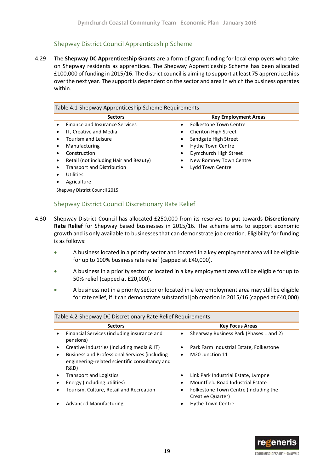#### Shepway District Council Apprenticeship Scheme

4.29 The **Shepway DC Apprenticeship Grants** are a form of grant funding for local employers who take on Shepway residents as apprentices. The Shepway Apprenticeship Scheme has been allocated £100,000 of funding in 2015/16. The district council is aiming to support at least 75 apprenticeships over the next year. The support is dependent on the sector and area in which the business operates within.

| <b>Sectors</b>                         | <b>Key Employment Areas</b>   |
|----------------------------------------|-------------------------------|
| <b>Finance and Insurance Services</b>  | <b>Folkestone Town Centre</b> |
| IT, Creative and Media                 | <b>Cheriton High Street</b>   |
| Tourism and Leisure                    | Sandgate High Street          |
| Manufacturing                          | Hythe Town Centre             |
| Construction                           | Dymchurch High Street         |
| Retail (not including Hair and Beauty) | New Romney Town Centre        |
| <b>Transport and Distribution</b>      | Lydd Town Centre              |
| Utilities                              |                               |
| Agriculture                            |                               |

Shepway District Council 2015

### Shepway District Council Discretionary Rate Relief

- 4.30 Shepway District Council has allocated £250,000 from its reserves to put towards **Discretionary Rate Relief** for Shepway based businesses in 2015/16. The scheme aims to support economic growth and is only available to businesses that can demonstrate job creation. Eligibility for funding is as follows:
	- A business located in a priority sector and located in a key employment area will be eligible for up to 100% business rate relief (capped at £40,000).
	- A business in a priority sector or located in a key employment area will be eligible for up to 50% relief (capped at £20,000).
	- A business not in a priority sector or located in a key employment area may still be eligible for rate relief, if it can demonstrate substantial job creation in 2015/16 (capped at £40,000)

| <b>Sectors</b>                                                                                          | <b>Key Focus Areas</b>                                          |
|---------------------------------------------------------------------------------------------------------|-----------------------------------------------------------------|
| Financial Services (including insurance and<br>pensions)                                                | Shearway Business Park (Phases 1 and 2)<br>$\bullet$            |
| Creative Industries (including media & IT)                                                              | Park Farm Industrial Estate, Folkestone                         |
| Business and Professional Services (including<br>engineering-related scientific consultancy and<br>R&D) | M <sub>20</sub> Junction 11                                     |
| <b>Transport and Logistics</b>                                                                          | Link Park Industrial Estate, Lympne                             |
| Energy (including utilities)                                                                            | Mountfield Road Industrial Estate                               |
| Tourism, Culture, Retail and Recreation                                                                 | Folkestone Town Centre (including the<br>٠<br>Creative Quarter) |
| <b>Advanced Manufacturing</b>                                                                           | <b>Hythe Town Centre</b>                                        |
|                                                                                                         |                                                                 |

#### Table 4.2 Shepway DC Discretionary Rate Relief Requirements

![](_page_21_Picture_12.jpeg)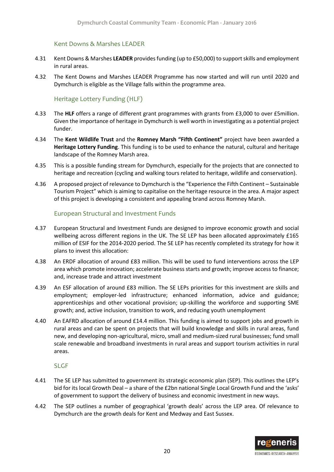#### Kent Downs & Marshes LEADER

- 4.31 Kent Downs & Marshes **LEADER** provides funding (up to £50,000) to support skills and employment in rural areas.
- 4.32 The Kent Downs and Marshes LEADER Programme has now started and will run until 2020 and Dymchurch is eligible as the Village falls within the programme area.

#### Heritage Lottery Funding (HLF)

- 4.33 The **HLF** offers a range of different grant programmes with grants from £3,000 to over £5million. Given the importance of heritage in Dymchurch is well worth in investigating as a potential project funder.
- 4.34 The **Kent Wildlife Trust** and the **Romney Marsh "Fifth Continent"** project have been awarded a **Heritage Lottery Funding**. This funding is to be used to enhance the natural, cultural and heritage landscape of the Romney Marsh area.
- 4.35 This is a possible funding stream for Dymchurch, especially for the projects that are connected to heritage and recreation (cycling and walking tours related to heritage, wildlife and conservation).
- 4.36 A proposed project of relevance to Dymchurch is the "Experience the Fifth Continent Sustainable Tourism Project" which is aiming to capitalise on the heritage resource in the area. A major aspect of this project is developing a consistent and appealing brand across Romney Marsh.

#### European Structural and Investment Funds

- 4.37 European Structural and Investment Funds are designed to improve economic growth and social wellbeing across different regions in the UK. The SE LEP has been allocated approximately £165 million of ESIF for the 2014-2020 period. The SE LEP has recently completed its strategy for how it plans to invest this allocation:
- 4.38 An ERDF allocation of around £83 million. This will be used to fund interventions across the LEP area which promote innovation; accelerate business starts and growth; improve access to finance; and, increase trade and attract investment
- 4.39 An ESF allocation of around £83 million. The SE LEPs priorities for this investment are skills and employment; employer-led infrastructure; enhanced information, advice and guidance; apprenticeships and other vocational provision; up-skilling the workforce and supporting SME growth; and, active inclusion, transition to work, and reducing youth unemployment
- 4.40 An EAFRD allocation of around £14.4 million. This funding is aimed to support jobs and growth in rural areas and can be spent on projects that will build knowledge and skills in rural areas, fund new, and developing non-agricultural, micro, small and medium-sized rural businesses; fund small scale renewable and broadband investments in rural areas and support tourism activities in rural areas.

#### SLGF

- 4.41 The SE LEP has submitted to government its strategic economic plan (SEP). This outlines the LEP's bid for its local Growth Deal – a share of the £2bn national Single Local Growth Fund and the 'asks' of government to support the delivery of business and economic investment in new ways.
- 4.42 The SEP outlines a number of geographical 'growth deals' across the LEP area. Of relevance to Dymchurch are the growth deals for Kent and Medway and East Sussex.

![](_page_22_Picture_17.jpeg)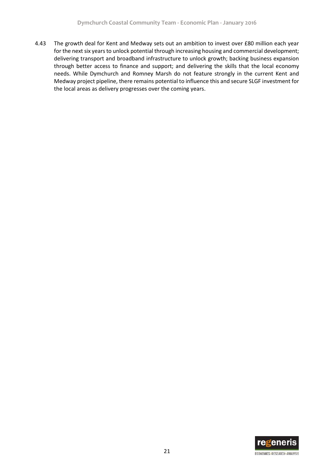4.43 The growth deal for Kent and Medway sets out an ambition to invest over £80 million each year for the next six years to unlock potential through increasing housing and commercial development; delivering transport and broadband infrastructure to unlock growth; backing business expansion through better access to finance and support; and delivering the skills that the local economy needs. While Dymchurch and Romney Marsh do not feature strongly in the current Kent and Medway project pipeline, there remains potential to influence this and secure SLGF investment for the local areas as delivery progresses over the coming years.

![](_page_23_Picture_2.jpeg)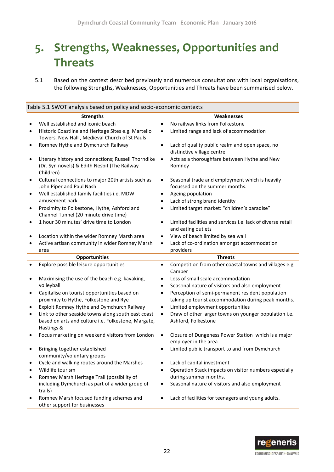# <span id="page-24-0"></span>**5. Strengths, Weaknesses, Opportunities and Threats**

5.1 Based on the context described previously and numerous consultations with local organisations, the following Strengths, Weaknesses, Opportunities and Threats have been summarised below.

|           | Table 5.1 SWOT analysis based on policy and socio-economic contexts                                                     |           |                                                                                   |
|-----------|-------------------------------------------------------------------------------------------------------------------------|-----------|-----------------------------------------------------------------------------------|
|           | <b>Strengths</b>                                                                                                        |           | Weaknesses                                                                        |
|           | Well established and iconic beach                                                                                       | $\bullet$ | No railway links from Folkestone                                                  |
|           | Historic Coastline and Heritage Sites e.g. Martello<br>Towers, New Hall, Medieval Church of St Pauls                    | $\bullet$ | Limited range and lack of accommodation                                           |
| $\bullet$ | Romney Hythe and Dymchurch Railway                                                                                      | $\bullet$ | Lack of quality public realm and open space, no<br>distinctive village centre     |
| $\bullet$ | Literary history and connections; Russell Thorndike<br>(Dr. Syn novels) & Edith Nesbit (The Railway<br>Children)        | $\bullet$ | Acts as a thoroughfare between Hythe and New<br>Romney                            |
|           | Cultural connections to major 20th artists such as<br>John Piper and Paul Nash                                          | ٠         | Seasonal trade and employment which is heavily<br>focussed on the summer months.  |
| $\bullet$ | Well established family facilities i.e. MDW                                                                             | ٠         | Ageing population                                                                 |
|           | amusement park                                                                                                          | ٠         | Lack of strong brand identity                                                     |
| ٠         | Proximity to Folkestone, Hythe, Ashford and<br>Channel Tunnel (20 minute drive time)                                    | $\bullet$ | Limited target market: "children's paradise"                                      |
| $\bullet$ | 1 hour 30 minutes' drive time to London                                                                                 | $\bullet$ | Limited facilities and services i.e. lack of diverse retail<br>and eating outlets |
|           | Location within the wider Romney Marsh area                                                                             | $\bullet$ | View of beach limited by sea wall                                                 |
|           | Active artisan community in wider Romney Marsh                                                                          | $\bullet$ | Lack of co-ordination amongst accommodation                                       |
|           | area                                                                                                                    |           | providers                                                                         |
|           | <b>Opportunities</b>                                                                                                    |           | <b>Threats</b>                                                                    |
|           | Explore possible leisure opportunities                                                                                  | $\bullet$ | Competition from other coastal towns and villages e.g.<br>Camber                  |
| $\bullet$ | Maximising the use of the beach e.g. kayaking,                                                                          | ٠         | Loss of small scale accommodation                                                 |
|           | volleyball                                                                                                              | ٠         | Seasonal nature of visitors and also employment                                   |
| ٠         | Capitalise on tourist opportunities based on                                                                            | $\bullet$ | Perception of semi-permanent resident population                                  |
|           | proximity to Hythe, Folkestone and Rye                                                                                  |           | taking up tourist accommodation during peak months.                               |
| $\bullet$ | Exploit Romney Hythe and Dymchurch Railway                                                                              | $\bullet$ | Limited employment opportunities                                                  |
| $\bullet$ | Link to other seaside towns along south east coast<br>based on arts and culture i.e. Folkestone, Margate,<br>Hastings & | $\bullet$ | Draw of other larger towns on younger population i.e.<br>Ashford, Folkestone      |
|           | Focus marketing on weekend visitors from London                                                                         | $\bullet$ | Closure of Dungeness Power Station which is a major<br>employer in the area       |
|           | Bringing together established<br>community/voluntary groups                                                             | ٠         | Limited public transport to and from Dymchurch                                    |
|           | Cycle and walking routes around the Marshes                                                                             |           | Lack of capital investment                                                        |
|           | Wildlife tourism                                                                                                        | $\bullet$ | Operation Stack impacts on visitor numbers especially                             |
|           | Romney Marsh Heritage Trail (possibility of                                                                             |           | during summer months.                                                             |
|           | including Dymchurch as part of a wider group of<br>trails)                                                              | $\bullet$ | Seasonal nature of visitors and also employment                                   |
|           | Romney Marsh focused funding schemes and<br>other support for businesses                                                | $\bullet$ | Lack of facilities for teenagers and young adults.                                |

![](_page_24_Picture_4.jpeg)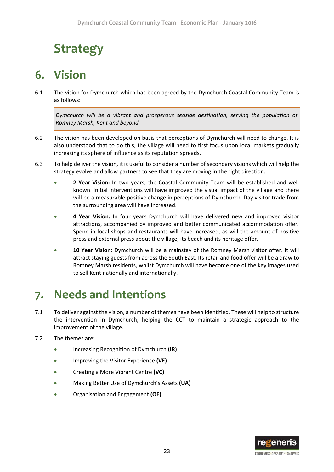# <span id="page-25-0"></span>**Strategy**

# <span id="page-25-1"></span>**6. Vision**

6.1 The vision for Dymchurch which has been agreed by the Dymchurch Coastal Community Team is as follows:

*Dymchurch will be a vibrant and prosperous seaside destination, serving the population of Romney Marsh, Kent and beyond.*

- 6.2 The vision has been developed on basis that perceptions of Dymchurch will need to change. It is also understood that to do this, the village will need to first focus upon local markets gradually increasing its sphere of influence as its reputation spreads.
- 6.3 To help deliver the vision, it is useful to consider a number of secondary visions which will help the strategy evolve and allow partners to see that they are moving in the right direction.
	- **2 Year Vision:** In two years, the Coastal Community Team will be established and well known. Initial interventions will have improved the visual impact of the village and there will be a measurable positive change in perceptions of Dymchurch. Day visitor trade from the surrounding area will have increased.
	- **4 Year Vision:** In four years Dymchurch will have delivered new and improved visitor attractions, accompanied by improved and better communicated accommodation offer. Spend in local shops and restaurants will have increased, as will the amount of positive press and external press about the village, its beach and its heritage offer.
	- **10 Year Vision:** Dymchurch will be a mainstay of the Romney Marsh visitor offer. It will attract staying guests from across the South East. Its retail and food offer will be a draw to Romney Marsh residents, whilst Dymchurch will have become one of the key images used to sell Kent nationally and internationally.

# <span id="page-25-2"></span>**7. Needs and Intentions**

- 7.1 To deliver against the vision, a number of themes have been identified. These will help to structure the intervention in Dymchurch, helping the CCT to maintain a strategic approach to the improvement of the village.
- 7.2 The themes are:
	- Increasing Recognition of Dymchurch **(IR)**
	- Improving the Visitor Experience **(VE)**
	- Creating a More Vibrant Centre **(VC)**
	- Making Better Use of Dymchurch's Assets **(UA)**
	- Organisation and Engagement **(OE)**

![](_page_25_Picture_18.jpeg)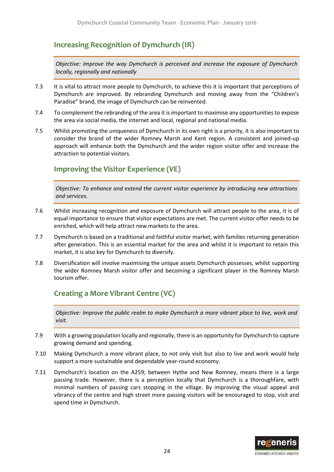## **Increasing Recognition of Dymchurch (IR)**

*Objective: Improve the way Dymchurch is perceived and increase the exposure of Dymchurch locally, regionally and nationally*

- 7.3 It is vital to attract more people to Dymchurch, to achieve this it is important that perceptions of Dymchurch are improved. By rebranding Dymchurch and moving away from the "Children's Paradise" brand, the image of Dymchurch can be reinvented.
- 7.4 To complement the rebranding of the area it is important to maximise any opportunities to expose the area via social media, the internet and local, regional and national media.
- 7.5 Whilst promoting the uniqueness of Dymchurch in its own right is a priority, it is also important to consider the brand of the wider Romney Marsh and Kent region. A consistent and joined-up approach will enhance both the Dymchurch and the wider region visitor offer and increase the attraction to potential visitors.

## **Improving the Visitor Experience (VE)**

*Objective: To enhance and extend the current visitor experience by introducing new attractions and services.*

- 7.6 Whilst increasing recognition and exposure of Dymchurch will attract people to the area, it is of equal importance to ensure that visitor expectations are met. The current visitor offer needs to be enriched, which will help attract new markets to the area.
- 7.7 Dymchurch is based on a traditional and faithful visitor market, with families returning generation after generation. This is an essential market for the area and whilst it is important to retain this market, it is also key for Dymchurch to diversify.
- 7.8 Diversification will involve maximising the unique assets Dymchurch possesses, whilst supporting the wider Romney Marsh visitor offer and becoming a significant player in the Romney Marsh tourism offer.

## **Creating a More Vibrant Centre (VC)**

*Objective: Improve the public realm to make Dymchurch a more vibrant place to live, work and visit.*

- 7.9 With a growing population locally and regionally, there is an opportunity for Dymchurch to capture growing demand and spending.
- 7.10 Making Dymchurch a more vibrant place, to not only visit but also to live and work would help support a more sustainable and dependable year-round economy.
- 7.11 Dymchurch's location on the A259; between Hythe and New Romney, means there is a large passing trade. However, there is a perception locally that Dymchurch is a thoroughfare, with minimal numbers of passing cars stopping in the village. By improving the visual appeal and vibrancy of the centre and high street more passing visitors will be encouraged to stop, visit and spend time in Dymchurch.

![](_page_26_Picture_16.jpeg)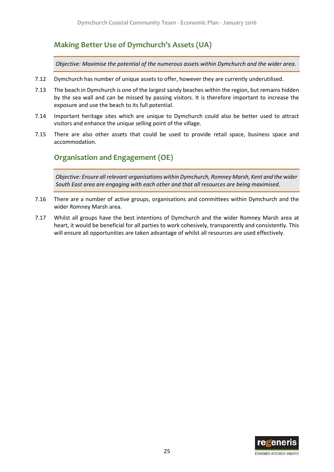## **Making Better Use of Dymchurch's Assets (UA)**

*Objective: Maximise the potential of the numerous assets within Dymchurch and the wider area.*

- 7.12 Dymchurch has number of unique assets to offer, however they are currently underutilised.
- 7.13 The beach in Dymchurch is one of the largest sandy beaches within the region, but remains hidden by the sea wall and can be missed by passing visitors. It is therefore important to increase the exposure and use the beach to its full potential.
- 7.14 Important heritage sites which are unique to Dymchurch could also be better used to attract visitors and enhance the unique selling point of the village.
- 7.15 There are also other assets that could be used to provide retail space, business space and accommodation.

## **Organisation and Engagement (OE)**

*Objective: Ensure all relevant organisations within Dymchurch, Romney Marsh, Kent and the wider South East area are engaging with each other and that all resources are being maximised.*

- 7.16 There are a number of active groups, organisations and committees within Dymchurch and the wider Romney Marsh area.
- 7.17 Whilst all groups have the best intentions of Dymchurch and the wider Romney Marsh area at heart, it would be beneficial for all parties to work cohesively, transparently and consistently. This will ensure all opportunities are taken advantage of whilst all resources are used effectively.

![](_page_27_Picture_11.jpeg)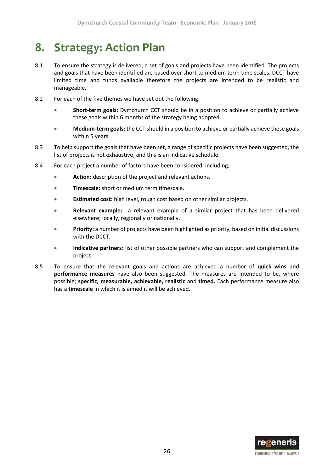# <span id="page-28-0"></span>**8. Strategy: Action Plan**

- 8.1 To ensure the strategy is delivered, a set of goals and projects have been identified. The projects and goals that have been identified are based over short to medium term time scales. DCCT have limited time and funds available therefore the projects are intended to be realistic and manageable.
- 8.2 For each of the five themes we have set out the following:
	- **Short-term goals:** Dymchurch CCT should be in a position to achieve or partially achieve these goals within 6 months of the strategy being adopted.
	- **Medium-term goals:** the CCT should in a position to achieve or partially achieve these goals within 5 years.
- 8.3 To help support the goals that have been set, a range of specific projects have been suggested, the list of projects is not exhaustive, and this is an indicative schedule.
- 8.4 For each project a number of factors have been considered, including;
	- **Action:** description of the project and relevant actions.
	- **Timescale:** short or medium term timescale.
	- **Estimated cost:** high level, rough cost based on other similar projects.
	- **Relevant example:** a relevant example of a similar project that has been delivered elsewhere; locally, regionally or nationally.
	- **Priority:** a number of projects have been highlighted as priority, based on initial discussions with the DCCT.
	- **Indicative partners:** list of other possible partners who can support and complement the project.
- 8.5 To ensure that the relevant goals and actions are achieved a number of **quick wins** and **performance measures** have also been suggested. The measures are intended to be, where possible; **specific, measurable, achievable, realistic** and **timed.** Each performance measure also has a **timescale** in which it is aimed it will be achieved.

![](_page_28_Picture_15.jpeg)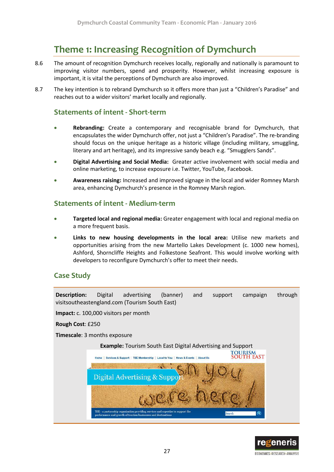# <span id="page-29-0"></span>**Theme 1: Increasing Recognition of Dymchurch**

- 8.6 The amount of recognition Dymchurch receives locally, regionally and nationally is paramount to improving visitor numbers, spend and prosperity. However, whilst increasing exposure is important, it is vital the perceptions of Dymchurch are also improved.
- 8.7 The key intention is to rebrand Dymchurch so it offers more than just a "Children's Paradise" and reaches out to a wider visitors' market locally and regionally.

## **Statements of intent - Short-term**

- **Rebranding:** Create a contemporary and recognisable brand for Dymchurch, that encapsulates the wider Dymchurch offer, not just a "Children's Paradise". The re-branding should focus on the unique heritage as a historic village (including military, smuggling, literary and art heritage), and its impressive sandy beach e.g. "Smugglers Sands".
- **Digital Advertising and Social Media:** Greater active involvement with social media and online marketing, to increase exposure i.e. Twitter, YouTube, Facebook.
- **Awareness raising:** Increased and improved signage in the local and wider Romney Marsh area, enhancing Dymchurch's presence in the Romney Marsh region.

### **Statements of intent - Medium-term**

- **Targeted local and regional media:** Greater engagement with local and regional media on a more frequent basis.
- **Links to new housing developments in the local area:** Utilise new markets and opportunities arising from the new Martello Lakes Development (c. 1000 new homes), Ashford, Shorncliffe Heights and Folkestone Seafront. This would involve working with developers to reconfigure Dymchurch's offer to meet their needs.

## **Case Study**

**Description:** Digital advertising (banner) and support campaign through visitsoutheastengland.com (Tourism South East)

**Impact:** c. 100,000 visitors per month

**Rough Cost**: £250

**Timescale**: 3 months exposure

![](_page_29_Picture_16.jpeg)

![](_page_29_Picture_17.jpeg)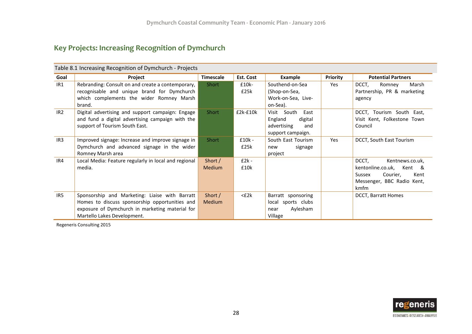## **Key Projects: Increasing Recognition of Dymchurch**

|                 | Table 6.1 Thureasing Recognition or Dyniumului - Projects                                                                                                                          |                          |                  |                                                                                      |                 |                                                                                                                             |  |  |
|-----------------|------------------------------------------------------------------------------------------------------------------------------------------------------------------------------------|--------------------------|------------------|--------------------------------------------------------------------------------------|-----------------|-----------------------------------------------------------------------------------------------------------------------------|--|--|
| Goal            | Project                                                                                                                                                                            | <b>Timescale</b>         | Est. Cost        | Example                                                                              | <b>Priority</b> | <b>Potential Partners</b>                                                                                                   |  |  |
| IR1             | Rebranding: Consult on and create a contemporary,<br>recognisable and unique brand for Dymchurch<br>which complements the wider Romney Marsh<br>brand.                             | Short                    | £10k-<br>£25k    | Southend-on-Sea<br>(Shop-on-Sea,<br>Work-on-Sea, Live-<br>on-Sea).                   | Yes             | DCCT,<br>Marsh<br>Romney<br>Partnership, PR & marketing<br>agency                                                           |  |  |
| IR <sub>2</sub> | Digital advertising and support campaign: Engage<br>and fund a digital advertising campaign with the<br>support of Tourism South East.                                             | Short                    | $£2k-E10k$       | Visit South<br>East<br>England<br>digital<br>advertising<br>and<br>support campaign. |                 | DCCT, Tourism South East,<br>Visit Kent, Folkestone Town<br>Council                                                         |  |  |
| IR3             | Improved signage: Increase and improve signage in<br>Dymchurch and advanced signage in the wider<br>Romney Marsh area                                                              | Short                    | $£10k -$<br>£25k | South East Tourism<br>signage<br>new<br>project                                      | Yes             | DCCT, South East Tourism                                                                                                    |  |  |
| IR4             | Local Media: Feature regularly in local and regional<br>media.                                                                                                                     | Short /<br><b>Medium</b> | $E2k -$<br>£10k  |                                                                                      |                 | DCCT,<br>Kentnews.co.uk,<br>kentonline.co.uk,<br>Kent &<br>Sussex<br>Courier,<br>Kent<br>Messenger, BBC Radio Kent,<br>kmfm |  |  |
| IR5             | Sponsorship and Marketing: Liaise with Barratt<br>Homes to discuss sponsorship opportunities and<br>exposure of Dymchurch in marketing material for<br>Martello Lakes Development. | Short /<br><b>Medium</b> | $<$ £2 $k$       | Barratt sponsoring<br>local sports clubs<br>Aylesham<br>near<br>Village              |                 | <b>DCCT, Barratt Homes</b>                                                                                                  |  |  |

Table 8.1 Increasing Recognition of Dymchurch - Projects

Regeneris Consulting 2015

![](_page_30_Picture_5.jpeg)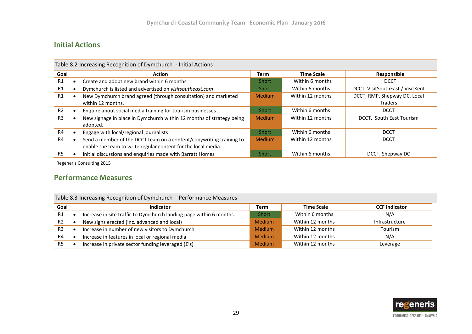## **Initial Actions**

|                 | Table 8.2 Increasing Recognition of Dymchurch - Initial Actions |                                                                                  |               |                   |                                  |  |
|-----------------|-----------------------------------------------------------------|----------------------------------------------------------------------------------|---------------|-------------------|----------------------------------|--|
| Goal            |                                                                 | <b>Action</b>                                                                    | <b>Term</b>   | <b>Time Scale</b> | Responsible                      |  |
| IR1             |                                                                 | Create and adopt new brand within 6 months                                       | Short         | Within 6 months   | <b>DCCT</b>                      |  |
| IR1             |                                                                 | Dymchurch is listed and advertised on visitsoutheast.com                         | Short         | Within 6 months   | DCCT, VisitSouthEast / VisitKent |  |
| IR <sub>1</sub> |                                                                 | New Dymchurch brand agreed (through consultation) and marketed                   | <b>Medium</b> | Within 12 months  | DCCT, RMP, Shepway DC, Local     |  |
|                 |                                                                 | within 12 months.                                                                |               |                   | Traders                          |  |
| IR <sub>2</sub> |                                                                 | Enquire about social media training for tourism businesses                       | <b>Short</b>  | Within 6 months   | <b>DCCT</b>                      |  |
| IR <sub>3</sub> |                                                                 | New signage in place in Dymchurch within 12 months of strategy being<br>adopted. | <b>Medium</b> | Within 12 months  | DCCT, South East Tourism         |  |
| IR4             |                                                                 | Engage with local/regional journalists                                           | Short         | Within 6 months   | <b>DCCT</b>                      |  |
| IR4             |                                                                 | Send a member of the DCCT team on a content/copywriting training to              | <b>Medium</b> | Within 12 months  | <b>DCCT</b>                      |  |
|                 |                                                                 | enable the team to write regular content for the local media.                    |               |                   |                                  |  |
| IR5             |                                                                 | Initial discussions and enquiries made with Barratt Homes                        | Short         | Within 6 months   | DCCT, Shepway DC                 |  |

Regeneris Consulting 2015

## **Performance Measures**

Table 8.3 Increasing Recognition of Dymchurch - Performance Measures

| Goal | <b>Indicator</b>                                                    | <b>Term</b>   | <b>Time Scale</b> | <b>CCF Indicator</b> |
|------|---------------------------------------------------------------------|---------------|-------------------|----------------------|
| IR1  | Increase in site traffic to Dymchurch landing page within 6 months. | <b>Short</b>  | Within 6 months   | N/A                  |
| IR2  | New signs erected (inc. advanced and local)                         | <b>Medium</b> | Within 12 months  | Infrastructure       |
| IR3  | Increase in number of new visitors to Dymchurch                     | <b>Medium</b> | Within 12 months  | Tourism              |
| IR4  | Increase in features in local or regional media                     | <b>Medium</b> | Within 12 months  | N/A                  |
| IR5  | Increase in private sector funding leveraged (£'s)                  | <b>Medium</b> | Within 12 months  | Leverage             |

![](_page_31_Picture_7.jpeg)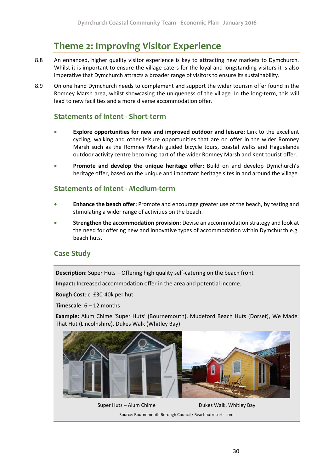# **Theme 2: Improving Visitor Experience**

- <span id="page-32-0"></span>8.8 An enhanced, higher quality visitor experience is key to attracting new markets to Dymchurch. Whilst it is important to ensure the village caters for the loyal and longstanding visitors it is also imperative that Dymchurch attracts a broader range of visitors to ensure its sustainability.
- 8.9 On one hand Dymchurch needs to complement and support the wider tourism offer found in the Romney Marsh area, whilst showcasing the uniqueness of the village. In the long-term, this will lead to new facilities and a more diverse accommodation offer.

## **Statements of intent - Short-term**

- **Explore opportunities for new and improved outdoor and leisure:** Link to the excellent cycling, walking and other leisure opportunities that are on offer in the wider Romney Marsh such as the Romney Marsh guided bicycle tours, coastal walks and Haguelands outdoor activity centre becoming part of the wider Romney Marsh and Kent tourist offer.
- **Promote and develop the unique heritage offer:** Build on and develop Dymchurch's heritage offer, based on the unique and important heritage sites in and around the village.

### **Statements of intent - Medium-term**

- **Enhance the beach offer:** Promote and encourage greater use of the beach, by testing and stimulating a wider range of activities on the beach.
- **Strengthen the accommodation provision:** Devise an accommodation strategy and look at the need for offering new and innovative types of accommodation within Dymchurch e.g. beach huts.

## **Case Study**

**Description:** Super Huts – Offering high quality self-catering on the beach front

**Impact:** Increased accommodation offer in the area and potential income.

**Rough Cost**: c. £30-40k per hut

**Timescale**: 6 – 12 months

**Example:** Alum Chime 'Super Huts' (Bournemouth), Mudeford Beach Huts (Dorset), We Made That Hut (Lincolnshire), Dukes Walk (Whitley Bay)

![](_page_32_Picture_16.jpeg)

Super Huts – Alum Chime Dukes Walk, Whitley Bay

Source: Bournemouth Borough Council / Beachhutresorts.com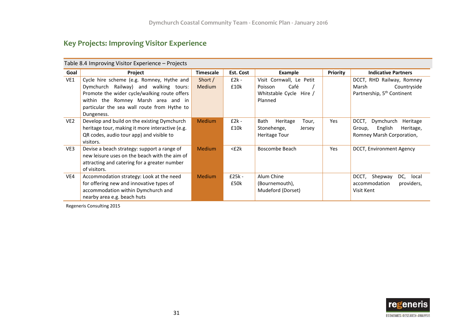## **Key Projects: Improving Visitor Experience**

|                 | Table 8.4 Improving Visitor Experience – Projects |                  |            |                           |            |                                        |  |  |  |
|-----------------|---------------------------------------------------|------------------|------------|---------------------------|------------|----------------------------------------|--|--|--|
| Goal            | Project                                           | <b>Timescale</b> | Est. Cost  | <b>Example</b>            | Priority   | <b>Indicative Partners</b>             |  |  |  |
| VE1             | Cycle hire scheme (e.g. Romney, Hythe and         | Short /          | $£2k -$    | Visit Cornwall, Le Petit  |            | DCCT, RHD Railway, Romney              |  |  |  |
|                 | Dymchurch Railway) and walking tours:             | <b>Medium</b>    | £10k       | Café<br>Poisson           |            | Marsh<br>Countryside                   |  |  |  |
|                 | Promote the wider cycle/walking route offers      |                  |            | Whitstable Cycle Hire /   |            | Partnership, 5 <sup>th</sup> Continent |  |  |  |
|                 | within the Romney Marsh area and in               |                  |            | Planned                   |            |                                        |  |  |  |
|                 | particular the sea wall route from Hythe to       |                  |            |                           |            |                                        |  |  |  |
|                 | Dungeness.                                        |                  |            |                           |            |                                        |  |  |  |
| VE <sub>2</sub> | Develop and build on the existing Dymchurch       | <b>Medium</b>    | $£2k -$    | Bath<br>Heritage<br>Tour, | Yes        | DCCT,<br>Dymchurch<br>Heritage         |  |  |  |
|                 | heritage tour, making it more interactive (e.g.   |                  | £10k       | Stonehenge,<br>Jersey     |            | Group,<br>English<br>Heritage,         |  |  |  |
|                 | QR codes, audio tour app) and visible to          |                  |            | <b>Heritage Tour</b>      |            | Romney Marsh Corporation,              |  |  |  |
|                 | visitors.                                         |                  |            |                           |            |                                        |  |  |  |
| VE3             | Devise a beach strategy: support a range of       | <b>Medium</b>    | $<$ £2 $k$ | Boscombe Beach            | <b>Yes</b> | DCCT, Environment Agency               |  |  |  |
|                 | new leisure uses on the beach with the aim of     |                  |            |                           |            |                                        |  |  |  |
|                 | attracting and catering for a greater number      |                  |            |                           |            |                                        |  |  |  |
|                 | of visitors.                                      |                  |            |                           |            |                                        |  |  |  |
| VE4             | Accommodation strategy: Look at the need          | <b>Medium</b>    | $£25k -$   | Alum Chine                |            | DCCT, Shepway<br>DC,<br>local          |  |  |  |
|                 | for offering new and innovative types of          |                  | £50k       | (Bournemouth),            |            | accommodation<br>providers,            |  |  |  |
|                 | accommodation within Dymchurch and                |                  |            | Mudeford (Dorset)         |            | Visit Kent                             |  |  |  |
|                 | nearby area e.g. beach huts                       |                  |            |                           |            |                                        |  |  |  |

Regeneris Consulting 2015

![](_page_33_Picture_4.jpeg)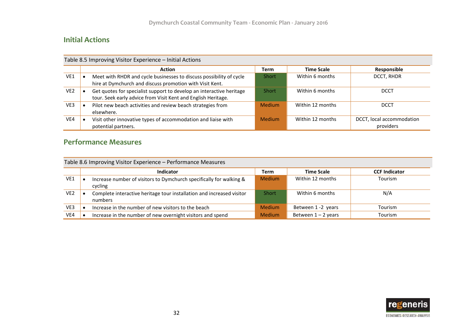## **Initial Actions**

|                 | Table 8.5 Improving Visitor Experience - Initial Actions |                                                                                                                                       |               |                   |                                        |  |
|-----------------|----------------------------------------------------------|---------------------------------------------------------------------------------------------------------------------------------------|---------------|-------------------|----------------------------------------|--|
|                 |                                                          | Action                                                                                                                                | <b>Term</b>   | <b>Time Scale</b> | Responsible                            |  |
| VE1             |                                                          | Meet with RHDR and cycle businesses to discuss possibility of cycle<br>hire at Dymchurch and discuss promotion with Visit Kent.       | <b>Short</b>  | Within 6 months   | DCCT, RHDR                             |  |
| VE <sub>2</sub> |                                                          | Get quotes for specialist support to develop an interactive heritage<br>tour. Seek early advice from Visit Kent and English Heritage. | <b>Short</b>  | Within 6 months   | <b>DCCT</b>                            |  |
| VE3             | ٠                                                        | Pilot new beach activities and review beach strategies from<br>elsewhere.                                                             | <b>Medium</b> | Within 12 months  | <b>DCCT</b>                            |  |
| VE4             |                                                          | Visit other innovative types of accommodation and liaise with<br>potential partners.                                                  | <b>Medium</b> | Within 12 months  | DCCT, local accommodation<br>providers |  |

## **Performance Measures**

|                 | Table 8.6 Improving Visitor Experience - Performance Measures |                                                                                  |               |                       |                      |  |  |
|-----------------|---------------------------------------------------------------|----------------------------------------------------------------------------------|---------------|-----------------------|----------------------|--|--|
|                 |                                                               | Indicator                                                                        | Term          | <b>Time Scale</b>     | <b>CCF Indicator</b> |  |  |
| VE1             |                                                               | Increase number of visitors to Dymchurch specifically for walking &<br>cycling   | <b>Medium</b> | Within 12 months      | <b>Tourism</b>       |  |  |
| VE <sub>2</sub> |                                                               | Complete interactive heritage tour installation and increased visitor<br>numbers | Short         | Within 6 months       | N/A                  |  |  |
| VE3             |                                                               | Increase in the number of new visitors to the beach                              | <b>Medium</b> | Between 1 -2 years    | Tourism              |  |  |
| VE4             |                                                               | Increase in the number of new overnight visitors and spend                       | <b>Medium</b> | Between $1 - 2$ years | Tourism              |  |  |

![](_page_34_Picture_5.jpeg)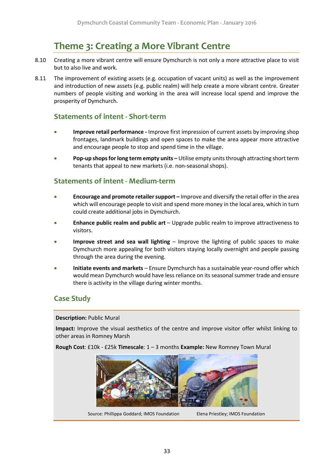# **Theme 3: Creating a More Vibrant Centre**

- <span id="page-35-0"></span>8.10 Creating a more vibrant centre will ensure Dymchurch is not only a more attractive place to visit but to also live and work.
- 8.11 The improvement of existing assets (e.g. occupation of vacant units) as well as the improvement and introduction of new assets (e.g. public realm) will help create a more vibrant centre. Greater numbers of people visiting and working in the area will increase local spend and improve the prosperity of Dymchurch.

## **Statements of intent - Short-term**

- **Improve retail performance -** Improve first impression of current assets by improving shop frontages, landmark buildings and open spaces to make the area appear more attractive and encourage people to stop and spend time in the village.
- **Pop-up shops for long term empty units –** Utilise empty units through attracting short term tenants that appeal to new markets (i.e. non-seasonal shops).

## **Statements of intent - Medium-term**

- **Encourage and promote retailer support –** Improve and diversify the retail offer in the area which will encourage people to visit and spend more money in the local area, which in turn could create additional jobs in Dymchurch.
- **Enhance public realm and public art** Upgrade public realm to improve attractiveness to visitors.
- **Improve street and sea wall lighting** Improve the lighting of public spaces to make Dymchurch more appealing for both visitors staying locally overnight and people passing through the area during the evening.
- **Initiate events and markets**  Ensure Dymchurch has a sustainable year-round offer which would mean Dymchurch would have less reliance on its seasonal summer trade and ensure there is activity in the village during winter months.

## **Case Study**

#### **Description:** Public Mural

**Impact:** Improve the visual aesthetics of the centre and improve visitor offer whilst linking to other areas in Romney Marsh

**Rough Cost**: £10k - £25k **Timescale**: 1 – 3 months **Example:** New Romney Town Mural

![](_page_35_Picture_16.jpeg)

Source: Phillippa Goddard; IMOS Foundation Elena Priestley; IMOS Foundation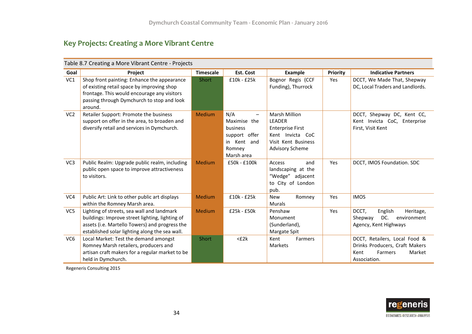## **Key Projects: Creating a More Vibrant Centre**

|                 | Table 8.7 Creating a More Vibrant Centre - Projects                                                                                                                                               |                  |                                                                                                                        |                                                                                                                                       |                 |                                                                                                              |  |  |  |
|-----------------|---------------------------------------------------------------------------------------------------------------------------------------------------------------------------------------------------|------------------|------------------------------------------------------------------------------------------------------------------------|---------------------------------------------------------------------------------------------------------------------------------------|-----------------|--------------------------------------------------------------------------------------------------------------|--|--|--|
| Goal            | Project                                                                                                                                                                                           | <b>Timescale</b> | Est. Cost                                                                                                              | <b>Example</b>                                                                                                                        | <b>Priority</b> | <b>Indicative Partners</b>                                                                                   |  |  |  |
| VC1             | Shop front painting: Enhance the appearance<br>of existing retail space by improving shop<br>frontage. This would encourage any visitors<br>passing through Dymchurch to stop and look<br>around. | Short            | £10k - £25k                                                                                                            | Bognor Regis (CCF<br>Funding), Thurrock                                                                                               | Yes             | DCCT, We Made That, Shepway<br>DC, Local Traders and Landlords.                                              |  |  |  |
| VC <sub>2</sub> | Retailer Support: Promote the business<br>support on offer in the area, to broaden and<br>diversify retail and services in Dymchurch.                                                             | Medium           | N/A<br>$\overline{\phantom{0}}$<br>Maximise the<br>business<br>support offer<br>Kent and<br>in<br>Romney<br>Marsh area | <b>Marsh Million</b><br><b>LEADER</b><br><b>Enterprise First</b><br>Kent Invicta CoC<br>Visit Kent Business<br><b>Advisory Scheme</b> |                 | DCCT, Shepway DC, Kent CC,<br>Kent Invicta CoC, Enterprise<br>First, Visit Kent                              |  |  |  |
| VC3             | Public Realm: Upgrade public realm, including<br>public open space to improve attractiveness<br>to visitors.                                                                                      | <b>Medium</b>    | £50k - £100k                                                                                                           | Access<br>and<br>landscaping at the<br>"Wedge" adjacent<br>to City of London<br>pub.                                                  | Yes             | DCCT, IMOS Foundation. SDC                                                                                   |  |  |  |
| VC4             | Public Art: Link to other public art displays<br>within the Romney Marsh area.                                                                                                                    | Medium           | £10k - £25k                                                                                                            | Romney<br><b>New</b><br><b>Murals</b>                                                                                                 | Yes             | <b>IMOS</b>                                                                                                  |  |  |  |
| VC <sub>5</sub> | Lighting of streets, sea wall and landmark<br>buildings: Improve street lighting, lighting of<br>assets (i.e. Martello Towers) and progress the<br>established solar lighting along the sea wall. | Medium           | £25k - £50k                                                                                                            | Penshaw<br>Monument<br>(Sunderland),<br>Margate Spit                                                                                  | Yes             | DCCT,<br>Heritage,<br>English<br>DC.<br>Shepway<br>environment<br>Agency, Kent Highways                      |  |  |  |
| VC <sub>6</sub> | Local Market: Test the demand amongst<br>Romney Marsh retailers, producers and<br>artisan craft makers for a regular market to be<br>held in Dymchurch.                                           | Short            | $<$ £2 $k$                                                                                                             | Kent<br>Farmers<br>Markets                                                                                                            |                 | DCCT, Retailers, Local Food &<br>Drinks Producers, Craft Makers<br>Kent<br>Farmers<br>Market<br>Association. |  |  |  |

Regeneris Consulting 2015

![](_page_36_Picture_4.jpeg)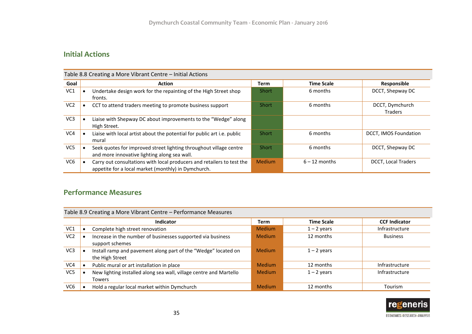## **Initial Actions**

| Table 8.8 Creating a More Vibrant Centre - Initial Actions |  |                                                                                                                               |               |                   |                                   |
|------------------------------------------------------------|--|-------------------------------------------------------------------------------------------------------------------------------|---------------|-------------------|-----------------------------------|
| Goal                                                       |  | <b>Action</b>                                                                                                                 | <b>Term</b>   | <b>Time Scale</b> | Responsible                       |
| VC1                                                        |  | Undertake design work for the repainting of the High Street shop<br>fronts.                                                   | Short         | 6 months          | DCCT, Shepway DC                  |
| VC <sub>2</sub>                                            |  | CCT to attend traders meeting to promote business support                                                                     | Short         | 6 months          | DCCT, Dymchurch<br><b>Traders</b> |
| VC3                                                        |  | Liaise with Shepway DC about improvements to the "Wedge" along<br>High Street.                                                |               |                   |                                   |
| VC4                                                        |  | Liaise with local artist about the potential for public art i.e. public<br>mural                                              | Short         | 6 months          | DCCT, IMOS Foundation             |
| VC5                                                        |  | Seek quotes for improved street lighting throughout village centre<br>and more innovative lighting along sea wall.            | Short         | 6 months          | DCCT, Shepway DC                  |
| VC <sub>6</sub>                                            |  | Carry out consultations with local producers and retailers to test the<br>appetite for a local market (monthly) in Dymchurch. | <b>Medium</b> | $6 - 12$ months   | <b>DCCT, Local Traders</b>        |

## **Performance Measures**

| Table 8.9 Creating a More Vibrant Centre - Performance Measures |  |                                                                    |               |                   |                      |  |
|-----------------------------------------------------------------|--|--------------------------------------------------------------------|---------------|-------------------|----------------------|--|
|                                                                 |  | <b>Indicator</b>                                                   | <b>Term</b>   | <b>Time Scale</b> | <b>CCF Indicator</b> |  |
| VC <sub>1</sub>                                                 |  | Complete high street renovation                                    | Medium        | $1 - 2$ years     | Infrastructure       |  |
| VC <sub>2</sub>                                                 |  | Increase in the number of businesses supported via business        | <b>Medium</b> | 12 months         | <b>Business</b>      |  |
|                                                                 |  | support schemes                                                    |               |                   |                      |  |
| VC <sub>3</sub>                                                 |  | Install ramp and pavement along part of the "Wedge" located on     | <b>Medium</b> | $1 - 2$ years     |                      |  |
|                                                                 |  | the High Street                                                    |               |                   |                      |  |
| VC4                                                             |  | Public mural or art installation in place                          | <b>Medium</b> | 12 months         | Infrastructure       |  |
| VC5                                                             |  | New lighting installed along sea wall, village centre and Martello | <b>Medium</b> | $1 - 2$ years     | Infrastructure       |  |
|                                                                 |  | Towers                                                             |               |                   |                      |  |
| VC <sub>6</sub>                                                 |  | Hold a regular local market within Dymchurch                       | <b>Medium</b> | 12 months         | Tourism              |  |

![](_page_37_Picture_5.jpeg)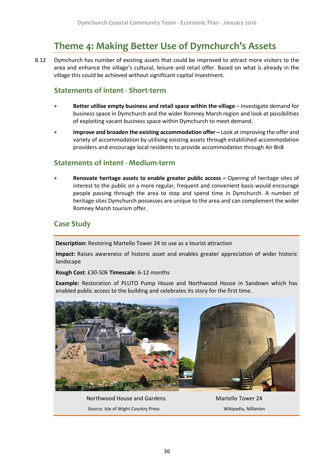# **Theme 4: Making Better Use of Dymchurch's Assets**

<span id="page-38-0"></span>8.12 Dymchurch has number of existing assets that could be improved to attract more visitors to the area and enhance the village's cultural, leisure and retail offer. Based on what is already in the village this could be achieved without significant capital investment.

## **Statements of intent - Short-term**

- **Better utilise empty business and retail space within the village** Investigate demand for business space in Dymchurch and the wider Romney Marsh region and look at possibilities of exploiting vacant business space within Dymchurch to meet demand.
- **Improve and broaden the existing accommodation offer –** Look at improving the offer and variety of accommodation by utilising existing assets through established accommodation providers and encourage local residents to provide accommodation through Air BnB

## **Statements of intent - Medium-term**

 **Renovate heritage assets to enable greater public access –** Opening of heritage sites of interest to the public on a more regular, frequent and convenient basis would encourage people passing through the area to stop and spend time in Dymchurch. A number of heritage sites Dymchurch possesses are unique to the area and can complement the wider Romney Marsh tourism offer.

## **Case Study**

**Description:** Restoring Martello Tower 24 to use as a tourist attraction

**Impact:** Raises awareness of historic asset and enables greater appreciation of wider historic landscape

**Rough Cost**: £30-50k **Timescale**: 6-12 months

**Example:** Restoration of PLUTO Pump House and Northwood House in Sandown which has enabled public access to the building and celebrates its story for the first time.

![](_page_38_Picture_13.jpeg)

Northwood House and Gardens Martello Tower 24 Source: Isle of Wight Country Press Wikipedia, Nilfanion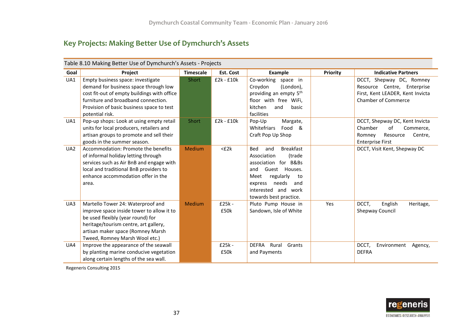## **Key Projects: Making Better Use of Dymchurch's Assets**

|                 | Table 8.10 Making Better Use of Dymchurch's Assets - Projects                                                                                                                                                                       |                  |                  |                                                                                                                                                                                                                       |                 |                                                                                                                           |  |
|-----------------|-------------------------------------------------------------------------------------------------------------------------------------------------------------------------------------------------------------------------------------|------------------|------------------|-----------------------------------------------------------------------------------------------------------------------------------------------------------------------------------------------------------------------|-----------------|---------------------------------------------------------------------------------------------------------------------------|--|
| Goal            | Project                                                                                                                                                                                                                             | <b>Timescale</b> | Est. Cost        | <b>Example</b>                                                                                                                                                                                                        | <b>Priority</b> | <b>Indicative Partners</b>                                                                                                |  |
| UA1             | Empty business space: investigate<br>demand for business space through low<br>cost fit-out of empty buildings with office<br>furniture and broadband connection.<br>Provision of basic business space to test<br>potential risk.    | <b>Short</b>     | $£2k - £10k$     | Co-working space in<br>(London),<br>Croydon<br>providing an empty 5 <sup>th</sup><br>floor with free WiFi,<br>kitchen<br>and<br>basic<br>facilities                                                                   |                 | DCCT, Shepway DC, Romney<br>Resource Centre, Enterprise<br>First, Kent LEADER, Kent Invicta<br><b>Chamber of Commerce</b> |  |
| UA1             | Pop-up shops: Look at using empty retail<br>units for local producers, retailers and<br>artisan groups to promote and sell their<br>goods in the summer season.                                                                     | Short            | $£2k - £10k$     | Pop-Up<br>Margate,<br>Whitefriars<br>Food<br>&<br>Craft Pop Up Shop                                                                                                                                                   |                 | DCCT, Shepway DC, Kent Invicta<br>Chamber<br>of<br>Commerce,<br>Romney<br>Resource<br>Centre,<br><b>Enterprise First</b>  |  |
| UA <sub>2</sub> | Accommodation: Promote the benefits<br>of informal holiday letting through<br>services such as Air BnB and engage with<br>local and traditional BnB providers to<br>enhance accommodation offer in the<br>area.                     | Medium           | $<$ £2 $k$       | <b>Breakfast</b><br><b>Bed</b><br>and<br>(trade<br>Association<br>association for B&Bs<br>Guest Houses.<br>and<br>Meet<br>regularly<br>to<br>needs<br>express<br>and<br>interested and work<br>towards best practice. |                 | DCCT, Visit Kent, Shepway DC                                                                                              |  |
| UA3             | Martello Tower 24: Waterproof and<br>improve space inside tower to allow it to<br>be used flexibly (year round) for<br>heritage/tourism centre, art gallery,<br>artisan maker space (Romney Marsh<br>Tweed, Romney Marsh Wool etc.) | <b>Medium</b>    | $£25k -$<br>£50k | Pluto Pump House in<br>Sandown, Isle of White                                                                                                                                                                         | Yes             | DCCT,<br>English<br>Heritage,<br><b>Shepway Council</b>                                                                   |  |
| UA4             | Improve the appearance of the seawall<br>by planting marine conducive vegetation<br>along certain lengths of the sea wall.                                                                                                          |                  | $£25k -$<br>£50k | <b>DEFRA</b><br>Rural<br>Grants<br>and Payments                                                                                                                                                                       |                 | DCCT,<br>Environment<br>Agency,<br><b>DEFRA</b>                                                                           |  |

Regeneris Consulting 2015

![](_page_39_Picture_4.jpeg)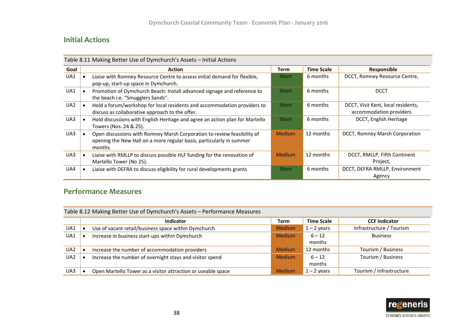## **Initial Actions**

|                 | Table 8.11 Making Better Use of Dymchurch's Assets - Initial Actions |                                                                                                                                                            |               |                   |                                                               |  |  |
|-----------------|----------------------------------------------------------------------|------------------------------------------------------------------------------------------------------------------------------------------------------------|---------------|-------------------|---------------------------------------------------------------|--|--|
| Goal            |                                                                      | Action                                                                                                                                                     | Term          | <b>Time Scale</b> | Responsible                                                   |  |  |
| UA1             |                                                                      | Liaise with Romney Resource Centre to assess initial demand for flexible,<br>pop-up, start-up space in Dymchurch.                                          | <b>Short</b>  | 6 months          | DCCT, Romney Resource Centre,                                 |  |  |
| UA1             | $\bullet$                                                            | Promotion of Dymchurch Beach: Install advanced signage and reference to<br>the beach i.e. "Smugglers Sands".                                               | <b>Short</b>  | 6 months          | <b>DCCT</b>                                                   |  |  |
| UA <sub>2</sub> | $\bullet$                                                            | Hold a forum/workshop for local residents and accommodation providers to<br>discuss as collaborative approach to the offer.                                | <b>Short</b>  | 6 months          | DCCT, Visit Kent, local residents,<br>accommodation providers |  |  |
| UA3             | $\bullet$                                                            | Hold discussions with English Heritage and agree an action plan for Martello<br>Towers (Nos. 24 & 25).                                                     | <b>Short</b>  | 6 months          | DCCT, English Heritage                                        |  |  |
| UA3             |                                                                      | Open discussions with Romney Marsh Corporation to review feasibility of<br>opening the New Hall on a more regular basis, particularly in summer<br>months. | <b>Medium</b> | 12 months         | DCCT, Romney Marsh Corporation                                |  |  |
| UA3             | $\bullet$                                                            | Liaise with RMLLP to discuss possible HLF funding for the renovation of<br>Martello Tower (No 25).                                                         | <b>Medium</b> | 12 months         | DCCT, RMLLP, Fifth Continent<br>Project,                      |  |  |
| UA4             | $\bullet$                                                            | Liaise with DEFRA to discuss eligibility for rural developments grants                                                                                     | <b>Short</b>  | 6 months          | DCCT, DEFRA RMLLP, Environment<br>Agency                      |  |  |

## **Performance Measures**

|                 | Table 8.12 Making Better Use of Dymchurch's Assets - Performance Measures |                                                              |               |                   |                          |  |  |
|-----------------|---------------------------------------------------------------------------|--------------------------------------------------------------|---------------|-------------------|--------------------------|--|--|
|                 |                                                                           | <b>Indicator</b>                                             | <b>Term</b>   | <b>Time Scale</b> | <b>CCF Indicator</b>     |  |  |
| UA1             |                                                                           | Use of vacant retail/business space within Dymchurch         | <b>Medium</b> | $1 - 2$ years     | Infrastructure / Tourism |  |  |
| UA1             |                                                                           | Increase in business start-ups within Dymchurch              | <b>Medium</b> | $6 - 12$          | <b>Business</b>          |  |  |
|                 |                                                                           |                                                              |               | months            |                          |  |  |
| UA2             |                                                                           | Increase the number of accommodation providers               | <b>Medium</b> | 12 months         | Tourism / Business       |  |  |
| UA <sub>2</sub> |                                                                           | Increase the number of overnight stays and visitor spend     | <b>Medium</b> | $6 - 12$          | Tourism / Business       |  |  |
|                 |                                                                           |                                                              |               | months            |                          |  |  |
| UA3             |                                                                           | Open Martello Tower as a visitor attraction or useable space | <b>Medium</b> | $1 - 2$ years     | Tourism / Infrastructure |  |  |

![](_page_40_Picture_5.jpeg)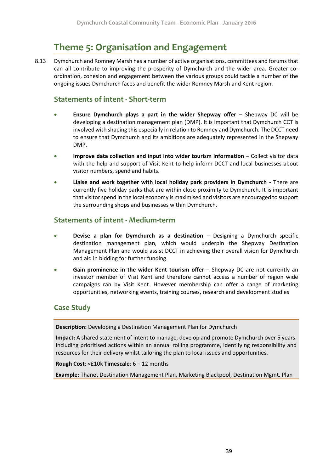# **Theme 5: Organisation and Engagement**

<span id="page-41-0"></span>8.13 Dymchurch and Romney Marsh has a number of active organisations, committees and forums that can all contribute to improving the prosperity of Dymchurch and the wider area. Greater coordination, cohesion and engagement between the various groups could tackle a number of the ongoing issues Dymchurch faces and benefit the wider Romney Marsh and Kent region.

### **Statements of intent - Short-term**

- **Ensure Dymchurch plays a part in the wider Shepway offer**  Shepway DC will be developing a destination management plan (DMP). It is important that Dymchurch CCT is involved with shaping this especially in relation to Romney and Dymchurch. The DCCT need to ensure that Dymchurch and its ambitions are adequately represented in the Shepway DMP.
- **Improve data collection and input into wider tourism information Collect visitor data** with the help and support of Visit Kent to help inform DCCT and local businesses about visitor numbers, spend and habits.
- **Liaise and work together with local holiday park providers in Dymchurch -** There are currently five holiday parks that are within close proximity to Dymchurch. It is important that visitor spend in the local economy is maximised and visitors are encouraged to support the surrounding shops and businesses within Dymchurch.

## **Statements of intent - Medium-term**

- **Devise a plan for Dymchurch as a destination** Designing a Dymchurch specific destination management plan, which would underpin the Shepway Destination Management Plan and would assist DCCT in achieving their overall vision for Dymchurch and aid in bidding for further funding.
- **Gain prominence in the wider Kent tourism offer** Shepway DC are not currently an investor member of Visit Kent and therefore cannot access a number of region wide campaigns ran by Visit Kent. However membership can offer a range of marketing opportunities, networking events, training courses, research and development studies

## **Case Study**

**Description:** Developing a Destination Management Plan for Dymchurch

**Impact:** A shared statement of intent to manage, develop and promote Dymchurch over 5 years. Including prioritised actions within an annual rolling programme, identifying responsibility and resources for their delivery whilst tailoring the plan to local issues and opportunities.

**Rough Cost**: <£10k **Timescale**: 6 – 12 months

**Example:** Thanet Destination Management Plan, Marketing Blackpool, Destination Mgmt. Plan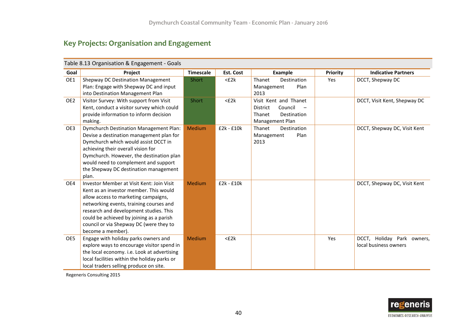## **Key Projects: Organisation and Engagement**

|                 | Table 8.13 Organisation & Engagement - Goals                                                |                  |            |                               |          |                               |  |
|-----------------|---------------------------------------------------------------------------------------------|------------------|------------|-------------------------------|----------|-------------------------------|--|
| Goal            | Project                                                                                     | <b>Timescale</b> | Est. Cost  | <b>Example</b>                | Priority | <b>Indicative Partners</b>    |  |
| OE1             | <b>Shepway DC Destination Management</b><br>Plan: Engage with Shepway DC and input          | <b>Short</b>     | $<$ £2 $k$ | Thanet<br>Destination<br>Plan | Yes      | DCCT, Shepway DC              |  |
|                 | into Destination Management Plan                                                            |                  |            | Management<br>2013            |          |                               |  |
| OE <sub>2</sub> | Visitor Survey: With support from Visit                                                     | Short            | $<$ £2 $k$ | Visit Kent and Thanet         |          | DCCT, Visit Kent, Shepway DC  |  |
|                 | Kent, conduct a visitor survey which could                                                  |                  |            | Council<br>District           |          |                               |  |
|                 | provide information to inform decision                                                      |                  |            | Destination<br>Thanet         |          |                               |  |
|                 | making.                                                                                     |                  |            | Management Plan               |          |                               |  |
| OE3             | Dymchurch Destination Management Plan:                                                      | Medium           | £2k - £10k | Thanet<br>Destination         |          | DCCT, Shepway DC, Visit Kent  |  |
|                 | Devise a destination management plan for                                                    |                  |            | Management<br>Plan            |          |                               |  |
|                 | Dymchurch which would assist DCCT in                                                        |                  |            | 2013                          |          |                               |  |
|                 | achieving their overall vision for                                                          |                  |            |                               |          |                               |  |
|                 | Dymchurch. However, the destination plan                                                    |                  |            |                               |          |                               |  |
|                 | would need to complement and support                                                        |                  |            |                               |          |                               |  |
|                 | the Shepway DC destination management                                                       |                  |            |                               |          |                               |  |
|                 | plan.                                                                                       |                  |            |                               |          |                               |  |
| OE4             | Investor Member at Visit Kent: Join Visit                                                   | <b>Medium</b>    | £2k - £10k |                               |          | DCCT, Shepway DC, Visit Kent  |  |
|                 | Kent as an investor member. This would                                                      |                  |            |                               |          |                               |  |
|                 | allow access to marketing campaigns,                                                        |                  |            |                               |          |                               |  |
|                 | networking events, training courses and                                                     |                  |            |                               |          |                               |  |
|                 | research and development studies. This                                                      |                  |            |                               |          |                               |  |
|                 | could be achieved by joining as a parish                                                    |                  |            |                               |          |                               |  |
|                 | council or via Shepway DC (were they to                                                     |                  |            |                               |          |                               |  |
|                 | become a member).                                                                           |                  |            |                               |          |                               |  |
| OE5             | Engage with holiday parks owners and                                                        | <b>Medium</b>    | $<$ £2 $k$ |                               | Yes      | DCCT, Holiday Park<br>owners, |  |
|                 | explore ways to encourage visitor spend in                                                  |                  |            |                               |          | local business owners         |  |
|                 | the local economy. i.e. Look at advertising<br>local facilities within the holiday parks or |                  |            |                               |          |                               |  |
|                 | local traders selling produce on site.                                                      |                  |            |                               |          |                               |  |
|                 |                                                                                             |                  |            |                               |          |                               |  |

Regeneris Consulting 2015

![](_page_42_Picture_5.jpeg)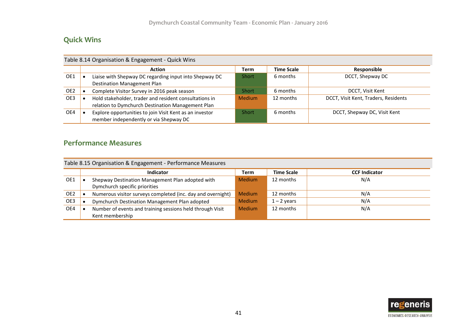## **Quick Wins**

| Table 8.14 Organisation & Engagement - Quick Wins |  |                                                                                                             |               |                   |                                      |  |
|---------------------------------------------------|--|-------------------------------------------------------------------------------------------------------------|---------------|-------------------|--------------------------------------|--|
|                                                   |  | <b>Action</b>                                                                                               | <b>Term</b>   | <b>Time Scale</b> | Responsible                          |  |
| OE1                                               |  | Liaise with Shepway DC regarding input into Shepway DC<br><b>Destination Management Plan</b>                | <b>Short</b>  | 6 months          | DCCT, Shepway DC                     |  |
| OE2                                               |  | Complete Visitor Survey in 2016 peak season                                                                 | <b>Short</b>  | 6 months          | DCCT, Visit Kent                     |  |
| OE3                                               |  | Hold stakeholder, trader and resident consultations in<br>relation to Dymchurch Destination Management Plan | <b>Medium</b> | 12 months         | DCCT, Visit Kent, Traders, Residents |  |
| OE4                                               |  | Explore opportunities to join Visit Kent as an investor<br>member independently or via Shepway DC           | <b>Short</b>  | 6 months          | DCCT, Shepway DC, Visit Kent         |  |

## **Performance Measures**

|  |  | Table 8.15 Organisation & Engagement - Performance Measures |  |  |
|--|--|-------------------------------------------------------------|--|--|
|--|--|-------------------------------------------------------------|--|--|

|     | <b>Indicator</b>                                            | Term          | <b>Time Scale</b> | <b>CCF Indicator</b> |
|-----|-------------------------------------------------------------|---------------|-------------------|----------------------|
| OE1 | Shepway Destination Management Plan adopted with            | <b>Medium</b> | 12 months         | N/A                  |
|     | Dymchurch specific priorities                               |               |                   |                      |
| OE2 | Numerous visitor surveys completed (inc. day and overnight) | <b>Medium</b> | 12 months         | N/A                  |
| OE3 | Dymchurch Destination Management Plan adopted               | <b>Medium</b> | $1 - 2$ years     | N/A                  |
| OE4 | Number of events and training sessions held through Visit   | <b>Medium</b> | 12 months         | N/A                  |
|     | Kent membership                                             |               |                   |                      |

![](_page_43_Picture_6.jpeg)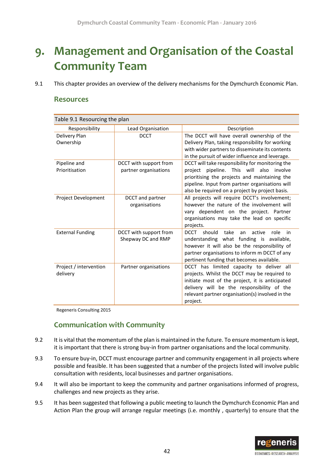# <span id="page-44-0"></span>**9. Management and Organisation of the Coastal Community Team**

9.1 This chapter provides an overview of the delivery mechanisms for the Dymchurch Economic Plan.

### **Resources**

| Table 9.1 Resourcing the plan      |                                                 |                                                                                                                                                                                                                                                           |  |  |  |  |
|------------------------------------|-------------------------------------------------|-----------------------------------------------------------------------------------------------------------------------------------------------------------------------------------------------------------------------------------------------------------|--|--|--|--|
| Responsibility                     | Lead Organisation                               | Description                                                                                                                                                                                                                                               |  |  |  |  |
| Delivery Plan<br>Ownership         | <b>DCCT</b>                                     | The DCCT will have overall ownership of the<br>Delivery Plan, taking responsibility for working<br>with wider partners to disseminate its contents<br>in the pursuit of wider influence and leverage.                                                     |  |  |  |  |
| Pipeline and<br>Prioritisation     | DCCT with support from<br>partner organisations | DCCT will take responsibility for monitoring the<br>project pipeline. This will also<br>involve<br>prioritising the projects and maintaining the<br>pipeline. Input from partner organisations will<br>also be required on a project by project basis.    |  |  |  |  |
| Project Development                | DCCT and partner<br>organisations               | All projects will require DCCT's involvement;<br>however the nature of the involvement will<br>vary dependent on the project. Partner<br>organisations may take the lead on specific<br>projects.                                                         |  |  |  |  |
| <b>External Funding</b>            | DCCT with support from<br>Shepway DC and RMP    | take<br>role<br><b>DCCT</b><br>should<br>active<br>in<br>an<br>understanding what funding is available,<br>however it will also be the responsibility of<br>partner organisations to inform m DCCT of any<br>pertinent funding that becomes available.    |  |  |  |  |
| Project / intervention<br>delivery | Partner organisations                           | DCCT has limited capacity to deliver all<br>projects. Whilst the DCCT may be required to<br>initiate most of the project, it is anticipated<br>delivery will be the responsibility of the<br>relevant partner organisation(s) involved in the<br>project. |  |  |  |  |

Regeneris Consulting 2015

## **Communication with Community**

- 9.2 It is vital that the momentum of the plan is maintained in the future. To ensure momentum is kept, it is important that there is strong buy-in from partner organisations and the local community.
- 9.3 To ensure buy-in, DCCT must encourage partner and community engagement in all projects where possible and feasible. It has been suggested that a number of the projects listed will involve public consultation with residents, local businesses and partner organisations.
- 9.4 It will also be important to keep the community and partner organisations informed of progress, challenges and new projects as they arise.
- 9.5 It has been suggested that following a public meeting to launch the Dymchurch Economic Plan and Action Plan the group will arrange regular meetings (i.e. monthly , quarterly) to ensure that the

![](_page_44_Picture_11.jpeg)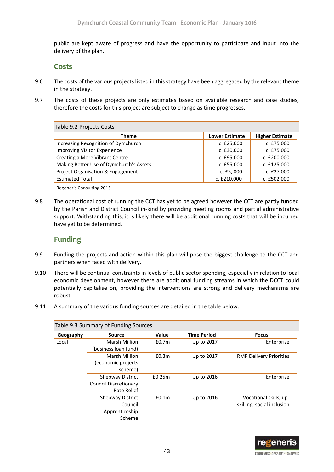public are kept aware of progress and have the opportunity to participate and input into the delivery of the plan.

### **Costs**

- 9.6 The costs of the various projects listed in this strategy have been aggregated by the relevant theme in the strategy.
- 9.7 The costs of these projects are only estimates based on available research and case studies, therefore the costs for this project are subject to change as time progresses.

| Table 9.2 Projects Costs                |                       |                        |  |  |
|-----------------------------------------|-----------------------|------------------------|--|--|
| <b>Theme</b>                            | <b>Lower Estimate</b> | <b>Higher Estimate</b> |  |  |
| Increasing Recognition of Dymchurch     | c. £25,000            | c. £75,000             |  |  |
| <b>Improving Visitor Experience</b>     | c. £30,000            | c. £75,000             |  |  |
| Creating a More Vibrant Centre          | c. £95,000            | c. £200,000            |  |  |
| Making Better Use of Dymchurch's Assets | c. £55,000            | c. £125,000            |  |  |
| Project Organisation & Engagement       | c. $£5,000$           | c. £27,000             |  |  |
| <b>Estimated Total</b>                  | c. £210,000           | c. £502,000            |  |  |

Regeneris Consulting 2015

9.8 The operational cost of running the CCT has yet to be agreed however the CCT are partly funded by the Parish and District Council in-kind by providing meeting rooms and partial administrative support. Withstanding this, it is likely there will be additional running costs that will be incurred have yet to be determined.

## **Funding**

- 9.9 Funding the projects and action within this plan will pose the biggest challenge to the CCT and partners when faced with delivery.
- 9.10 There will be continual constraints in levels of public sector spending, especially in relation to local economic development, however there are additional funding streams in which the DCCT could potentially capitalise on, providing the interventions are strong and delivery mechanisms are robust.
- 9.11 A summary of the various funding sources are detailed in the table below.

| Table 9.3 Summary of Funding Sources |                                                                        |                   |                    |                                                      |  |  |
|--------------------------------------|------------------------------------------------------------------------|-------------------|--------------------|------------------------------------------------------|--|--|
| Geography                            | Source                                                                 | <b>Value</b>      | <b>Time Period</b> | <b>Focus</b>                                         |  |  |
| Local                                | Marsh Million<br>(business loan fund)                                  | £0.7 <sub>m</sub> | Up to 2017         | Enterprise                                           |  |  |
|                                      | <b>Marsh Million</b><br>(economic projects<br>scheme)                  | £0.3m             | Up to 2017         | <b>RMP Delivery Priorities</b>                       |  |  |
|                                      | <b>Shepway District</b><br><b>Council Discretionary</b><br>Rate Relief | £0.25m            | Up to 2016         | Enterprise                                           |  |  |
|                                      | <b>Shepway District</b><br>Council<br>Apprenticeship<br>Scheme         | £0.1 <sub>m</sub> | Up to 2016         | Vocational skills, up-<br>skilling, social inclusion |  |  |

![](_page_45_Picture_13.jpeg)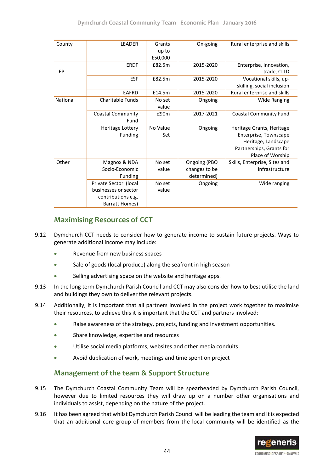| County     | <b>LEADER</b>            | Grants   | On-going      | Rural enterprise and skills   |
|------------|--------------------------|----------|---------------|-------------------------------|
|            |                          | up to    |               |                               |
|            |                          | £50,000  |               |                               |
|            | <b>ERDF</b>              | £82.5m   | 2015-2020     | Enterprise, innovation,       |
| <b>LEP</b> |                          |          |               | trade, CLLD                   |
|            | ESF                      | £82.5m   | 2015-2020     | Vocational skills, up-        |
|            |                          |          |               | skilling, social inclusion    |
|            | <b>EAFRD</b>             | £14.5m   | 2015-2020     | Rural enterprise and skills   |
| National   | Charitable Funds         | No set   | Ongoing       | <b>Wide Ranging</b>           |
|            |                          | value    |               |                               |
|            | <b>Coastal Community</b> | £90m     | 2017-2021     | <b>Coastal Community Fund</b> |
|            | Fund                     |          |               |                               |
|            | <b>Heritage Lottery</b>  | No Value | Ongoing       | Heritage Grants, Heritage     |
|            | Funding                  | Set      |               | Enterprise, Townscape         |
|            |                          |          |               | Heritage, Landscape           |
|            |                          |          |               | Partnerships, Grants for      |
|            |                          |          |               | Place of Worship              |
| Other      | Magnox & NDA             | No set   | Ongoing (PBO  | Skills, Enterprise, Sites and |
|            | Socio-Economic           | value    | changes to be | Infrastructure                |
|            | Funding                  |          | determined)   |                               |
|            | Private Sector (local    | No set   | Ongoing       | Wide ranging                  |
|            | businesses or sector     | value    |               |                               |
|            | contributions e.g.       |          |               |                               |
|            | Barratt Homes)           |          |               |                               |

## **Maximising Resources of CCT**

- 9.12 Dymchurch CCT needs to consider how to generate income to sustain future projects. Ways to generate additional income may include:
	- Revenue from new business spaces
	- Sale of goods (local produce) along the seafront in high season
	- Selling advertising space on the website and heritage apps.
- 9.13 In the long term Dymchurch Parish Council and CCT may also consider how to best utilise the land and buildings they own to deliver the relevant projects.
- 9.14 Additionally, it is important that all partners involved in the project work together to maximise their resources, to achieve this it is important that the CCT and partners involved:
	- Raise awareness of the strategy, projects, funding and investment opportunities.
	- Share knowledge, expertise and resources
	- Utilise social media platforms, websites and other media conduits
	- Avoid duplication of work, meetings and time spent on project

## **Management of the team & Support Structure**

- 9.15 The Dymchurch Coastal Community Team will be spearheaded by Dymchurch Parish Council, however due to limited resources they will draw up on a number other organisations and individuals to assist, depending on the nature of the project.
- 9.16 It has been agreed that whilst Dymchurch Parish Council will be leading the team and it is expected that an additional core group of members from the local community will be identified as the

![](_page_46_Picture_16.jpeg)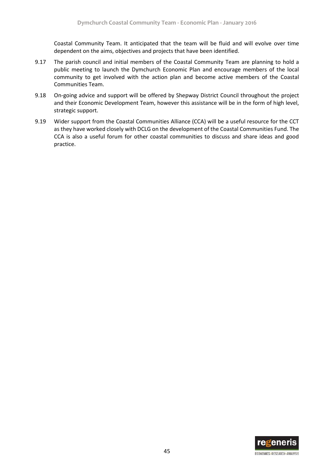Coastal Community Team. It anticipated that the team will be fluid and will evolve over time dependent on the aims, objectives and projects that have been identified.

- 9.17 The parish council and initial members of the Coastal Community Team are planning to hold a public meeting to launch the Dymchurch Economic Plan and encourage members of the local community to get involved with the action plan and become active members of the Coastal Communities Team.
- 9.18 On-going advice and support will be offered by Shepway District Council throughout the project and their Economic Development Team, however this assistance will be in the form of high level, strategic support.
- 9.19 Wider support from the Coastal Communities Alliance (CCA) will be a useful resource for the CCT as they have worked closely with DCLG on the development of the Coastal Communities Fund. The CCA is also a useful forum for other coastal communities to discuss and share ideas and good practice.

![](_page_47_Picture_5.jpeg)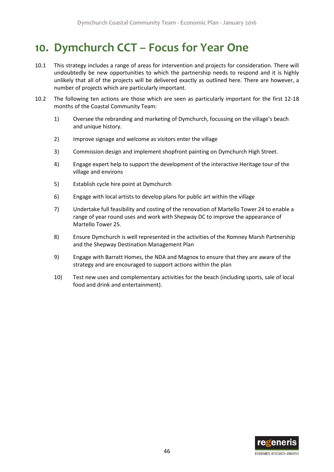# <span id="page-48-0"></span>**10. Dymchurch CCT – Focus for Year One**

- 10.1 This strategy includes a range of areas for intervention and projects for consideration. There will undoubtedly be new opportunities to which the partnership needs to respond and it is highly unlikely that all of the projects will be delivered exactly as outlined here. There are however, a number of projects which are particularly important.
- 10.2 The following ten actions are those which are seen as particularly important for the first 12-18 months of the Coastal Community Team:
	- 1) Oversee the rebranding and marketing of Dymchurch, focussing on the village's beach and unique history.
	- 2) Improve signage and welcome as visitors enter the village
	- 3) Commission design and implement shopfront painting on Dymchurch High Street.
	- 4) Engage expert help to support the development of the interactive Heritage tour of the village and environs
	- 5) Establish cycle hire point at Dymchurch
	- 6) Engage with local artists to develop plans for public art within the village
	- 7) Undertake full feasibility and costing of the renovation of Martello Tower 24 to enable a range of year round uses and work with Shepway DC to improve the appearance of Martello Tower 25.
	- 8) Ensure Dymchurch is well represented in the activities of the Romney Marsh Partnership and the Shepway Destination Management Plan
	- 9) Engage with Barratt Homes, the NDA and Magnox to ensure that they are aware of the strategy and are encouraged to support actions within the plan
	- 10) Test new uses and complementary activities for the beach (including sports, sale of local food and drink and entertainment).

![](_page_48_Picture_14.jpeg)